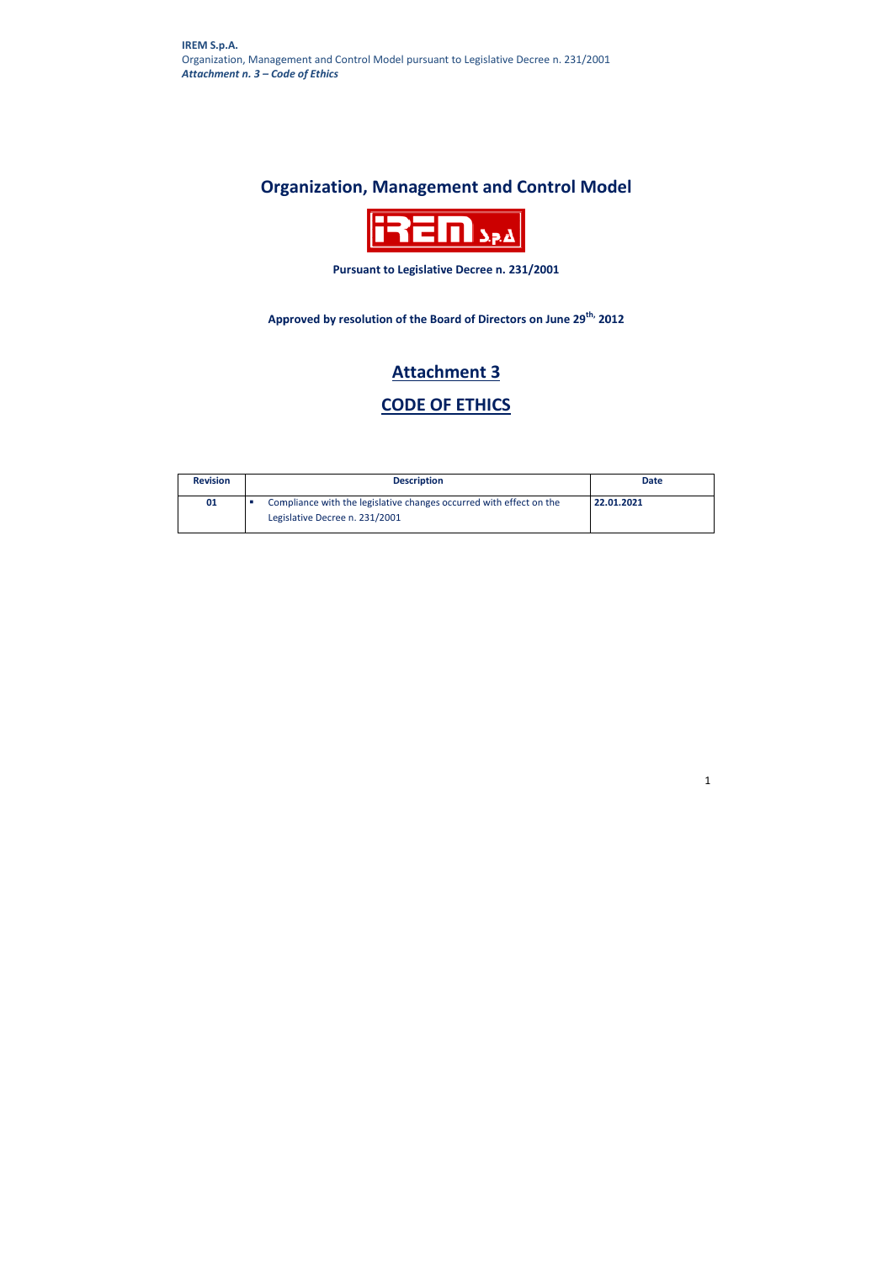# **Organization, Management and Control Model**



**Approved by resolution of the Board of Directors on June 29 th, 2012**

# **CODE OF ETHICS**

**Pursuant to Legislative Decree n Decree n. 231/2001** 

| <b>Revision</b> | <b>Description</b>                                                                                    | <b>Date</b> |
|-----------------|-------------------------------------------------------------------------------------------------------|-------------|
| 01              | Compliance with the legislative changes occurred with effect on the<br>Legislative Decree n. 231/2001 | 22.01.2021  |

# **Attachment Attachment 3**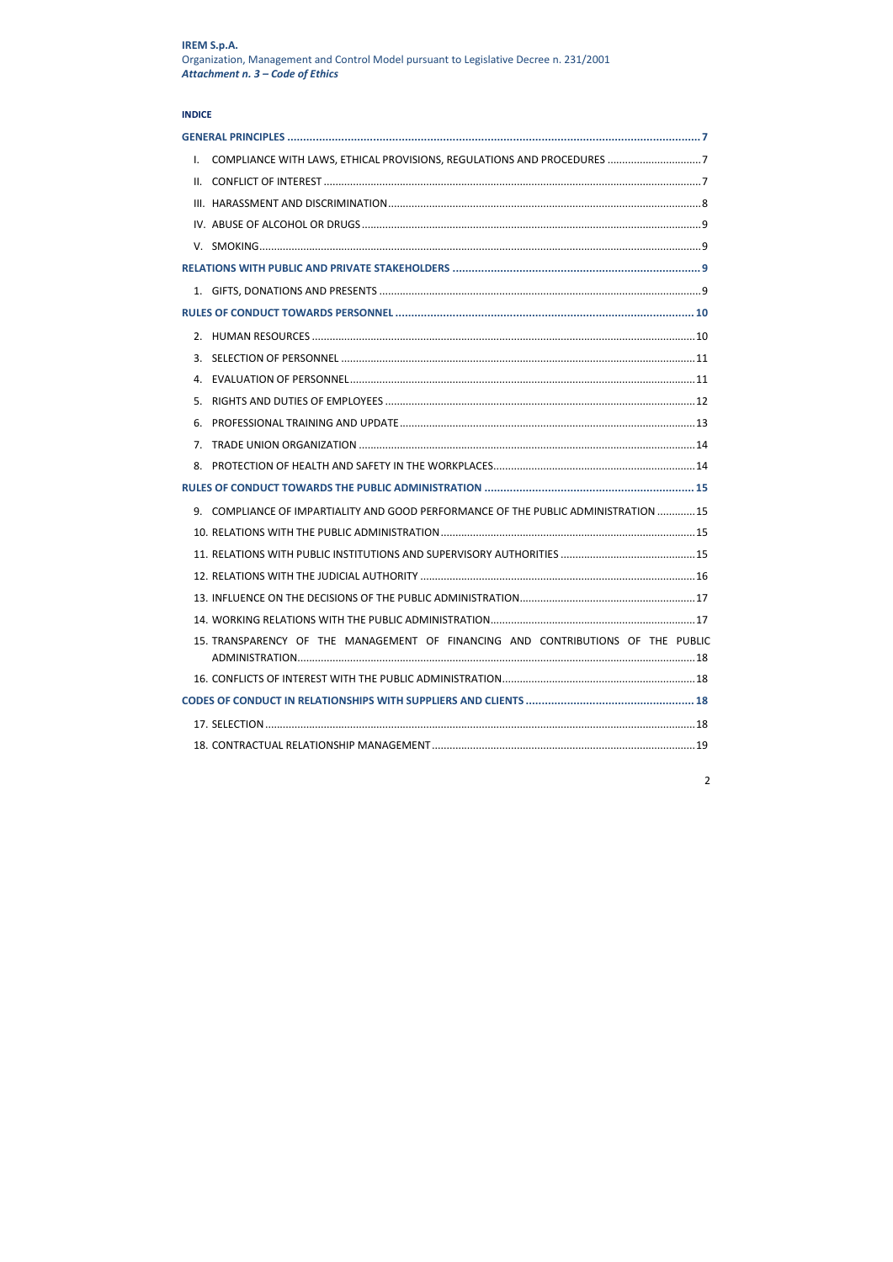# **INDICE**

| L.          | COMPLIANCE WITH LAWS, ETHICAL PROVISIONS, REGULATIONS AND PROCEDURES 7             |  |
|-------------|------------------------------------------------------------------------------------|--|
|             |                                                                                    |  |
|             |                                                                                    |  |
|             |                                                                                    |  |
|             |                                                                                    |  |
|             |                                                                                    |  |
|             |                                                                                    |  |
|             |                                                                                    |  |
|             |                                                                                    |  |
|             |                                                                                    |  |
|             |                                                                                    |  |
|             |                                                                                    |  |
| 6.          |                                                                                    |  |
| $7_{\cdot}$ |                                                                                    |  |
|             |                                                                                    |  |
|             |                                                                                    |  |
|             | 9. COMPLIANCE OF IMPARTIALITY AND GOOD PERFORMANCE OF THE PUBLIC ADMINISTRATION 15 |  |
|             |                                                                                    |  |
|             |                                                                                    |  |
|             |                                                                                    |  |
|             |                                                                                    |  |
|             |                                                                                    |  |
|             | 15. TRANSPARENCY OF THE MANAGEMENT OF FINANCING AND CONTRIBUTIONS OF THE PUBLIC    |  |
|             |                                                                                    |  |
|             |                                                                                    |  |
|             |                                                                                    |  |
|             |                                                                                    |  |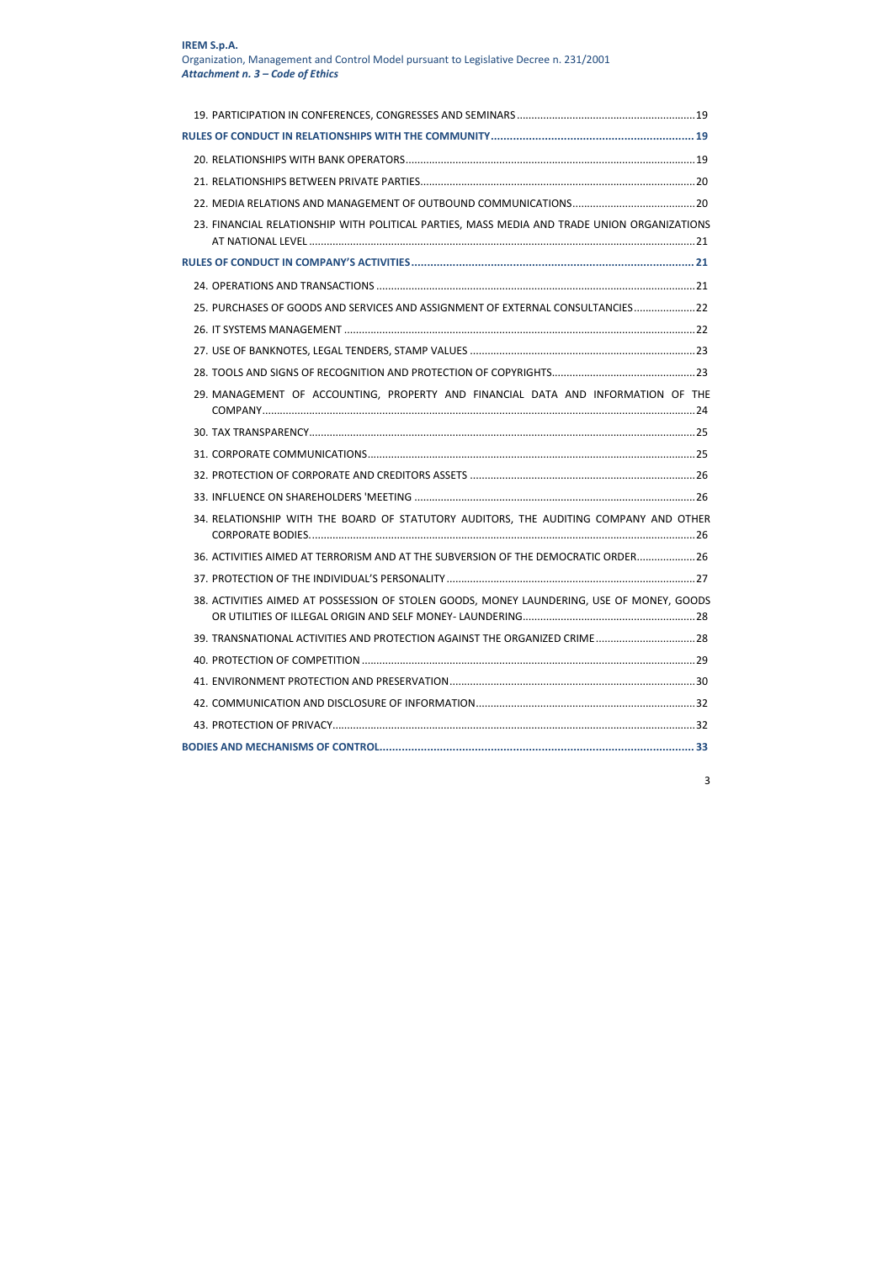| 23. FINANCIAL RELATIONSHIP WITH POLITICAL PARTIES, MASS MEDIA AND TRADE UNION ORGANIZATIONS |  |
|---------------------------------------------------------------------------------------------|--|
|                                                                                             |  |
|                                                                                             |  |
| 25. PURCHASES OF GOODS AND SERVICES AND ASSIGNMENT OF EXTERNAL CONSULTANCIES22              |  |
|                                                                                             |  |
|                                                                                             |  |
|                                                                                             |  |
| 29. MANAGEMENT OF ACCOUNTING, PROPERTY AND FINANCIAL DATA AND INFORMATION OF THE            |  |
|                                                                                             |  |
|                                                                                             |  |
|                                                                                             |  |
|                                                                                             |  |
| 34. RELATIONSHIP WITH THE BOARD OF STATUTORY AUDITORS, THE AUDITING COMPANY AND OTHER       |  |
| 36. ACTIVITIES AIMED AT TERRORISM AND AT THE SUBVERSION OF THE DEMOCRATIC ORDER 26          |  |
| 37. PROTECTION OF THE INDIVIDUAL'S PERSONALITY<br>27                                        |  |
| 38. ACTIVITIES AIMED AT POSSESSION OF STOLEN GOODS, MONEY LAUNDERING, USE OF MONEY, GOODS   |  |
| 39. TRANSNATIONAL ACTIVITIES AND PROTECTION AGAINST THE ORGANIZED CRIME28                   |  |
|                                                                                             |  |
|                                                                                             |  |
|                                                                                             |  |
|                                                                                             |  |
|                                                                                             |  |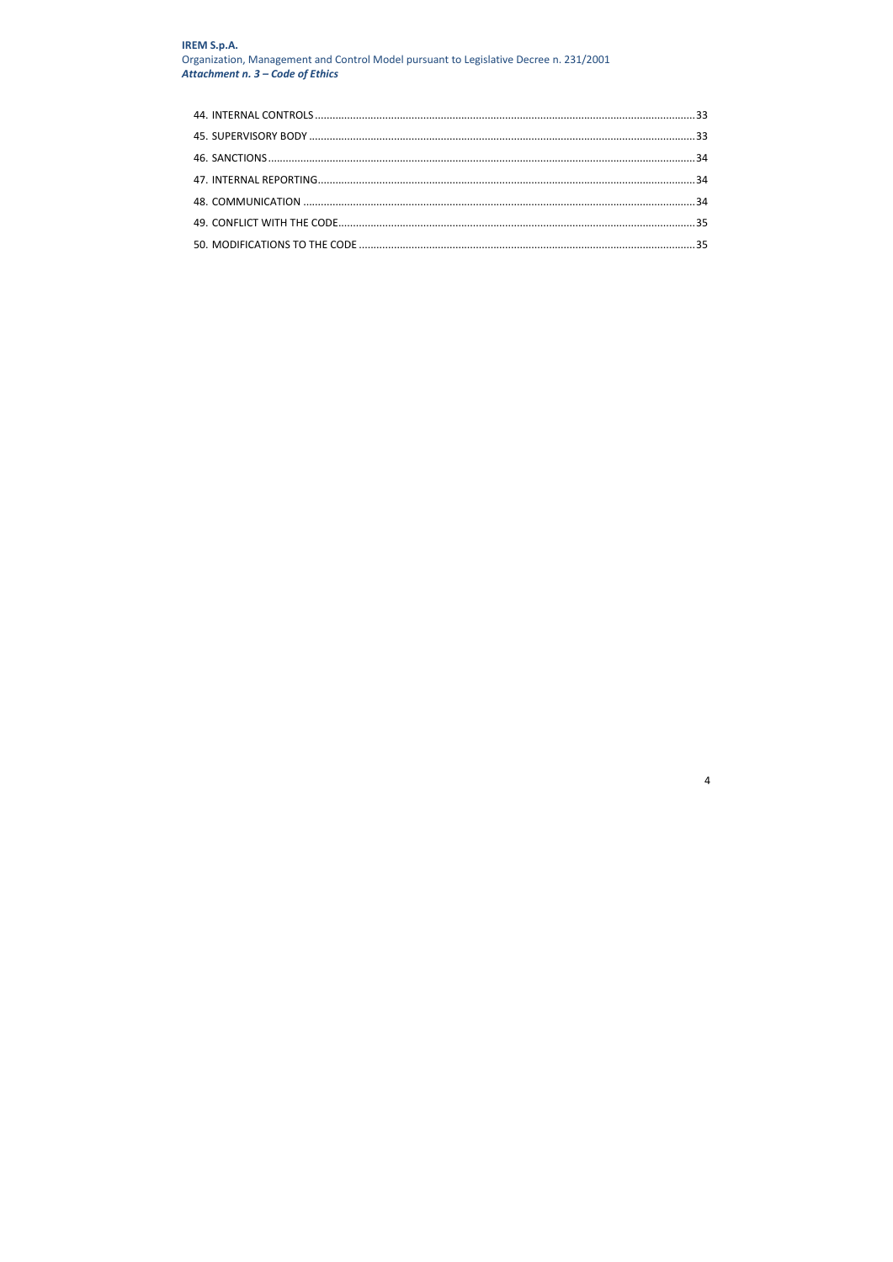# **IREM S.p.A.**

Organization, Management and Control Model pursuant to Legislative Decree n. 231/2001 Attachment n. 3 - Code of Ethics

 $\overline{4}$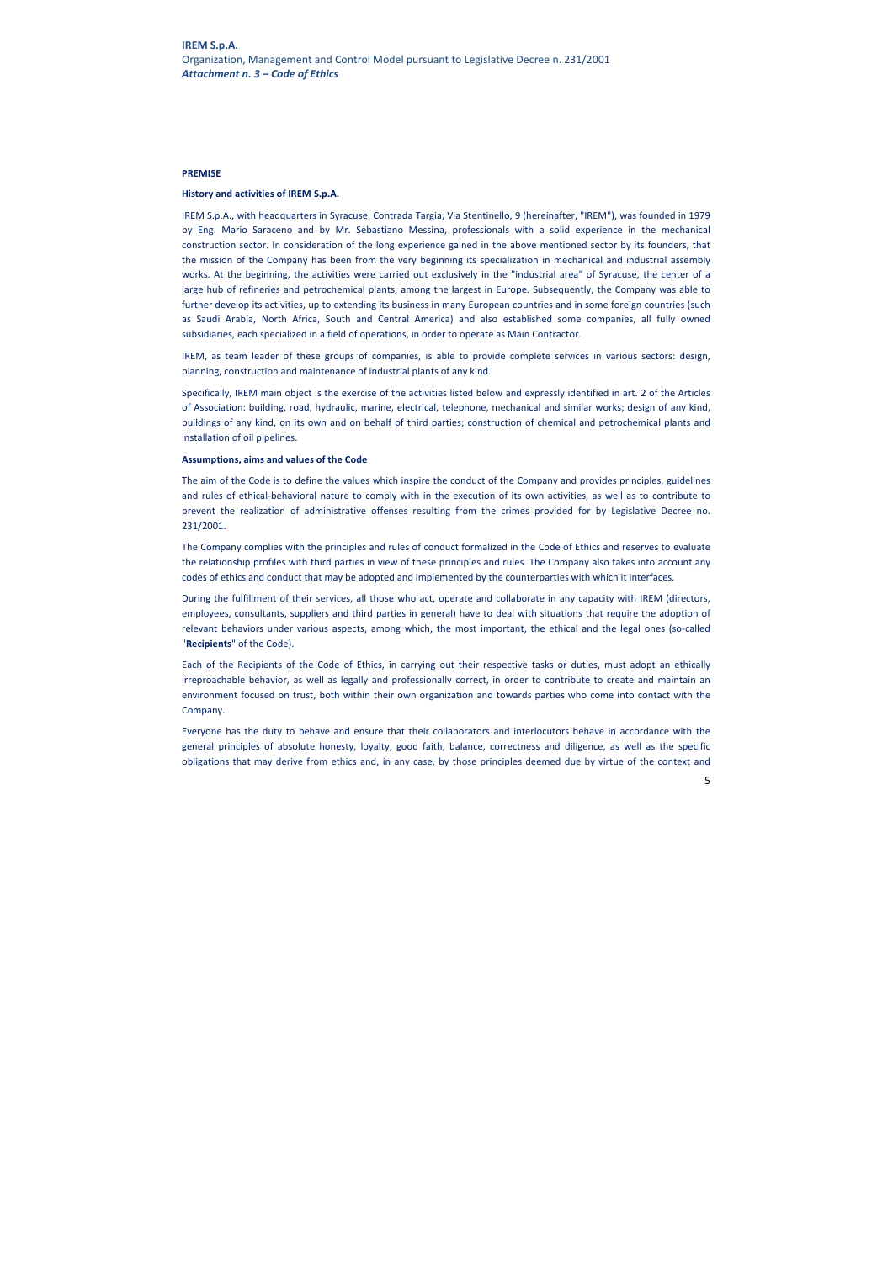#### **PREMISE**

#### **History and activities of IREM S.p.A.**

IREM S.p.A., with headquarters in Syracuse, Contrada Targia, Via Stentinello, 9 (hereinafter, "IREM"), was founded in 1979 by Eng. Mario Saraceno and by Mr. Sebastiano Messina, professionals with a solid experience in the mechanical construction sector. In consideration of the long experience gained in the above mentioned sector by its founders, that the mission of the Company has been from the very beginning its specialization in mechanical and industrial assembly works. At the beginning, the activities were carried out exclusively in the "industrial area" of Syracuse, the center of a large hub of refineries and petrochemical plants, among the largest in Europe. Subsequently, the Company was able to further develop its activities, up to extending its business in many European countries and in some foreign countries (such as Saudi Arabia, North Africa, South and Central America) and also established some companies, all fully owned subsidiaries, each specialized in a field of operations, in order to operate as Main Contractor.

IREM, as team leader of these groups of companies, is able to provide complete services in various sectors: design, planning, construction and maintenance of industrial plants of any kind.

Specifically, IREM main object is the exercise of the activities listed below and expressly identified in art. 2 of the Articles of Association: building, road, hydraulic, marine, electrical, telephone, mechanical and similar works; design of any kind, buildings of any kind, on its own and on behalf of third parties; construction of chemical and petrochemical plants and installation of oil pipelines.

#### **Assumptions, aims and values of the Code**

The aim of the Code is to define the values which inspire the conduct of the Company and provides principles, guidelines and rules of ethical-behavioral nature to comply with in the execution of its own activities, as well as to contribute to prevent the realization of administrative offenses resulting from the crimes provided for by Legislative Decree no. 231/2001.

The Company complies with the principles and rules of conduct formalized in the Code of Ethics and reserves to evaluate the relationship profiles with third parties in view of these principles and rules. The Company also takes into account any codes of ethics and conduct that may be adopted and implemented by the counterparties with which it interfaces.

During the fulfillment of their services, all those who act, operate and collaborate in any capacity with IREM (directors, employees, consultants, suppliers and third parties in general) have to deal with situations that require the adoption of relevant behaviors under various aspects, among which, the most important, the ethical and the legal ones (so-called "**Recipients**" of the Code).

Each of the Recipients of the Code of Ethics, in carrying out their respective tasks or duties, must adopt an ethically irreproachable behavior, as well as legally and professionally correct, in order to contribute to create and maintain an environment focused on trust, both within their own organization and towards parties who come into contact with the Company.

Everyone has the duty to behave and ensure that their collaborators and interlocutors behave in accordance with the general principles of absolute honesty, loyalty, good faith, balance, correctness and diligence, as well as the specific obligations that may derive from ethics and, in any case, by those principles deemed due by virtue of the context and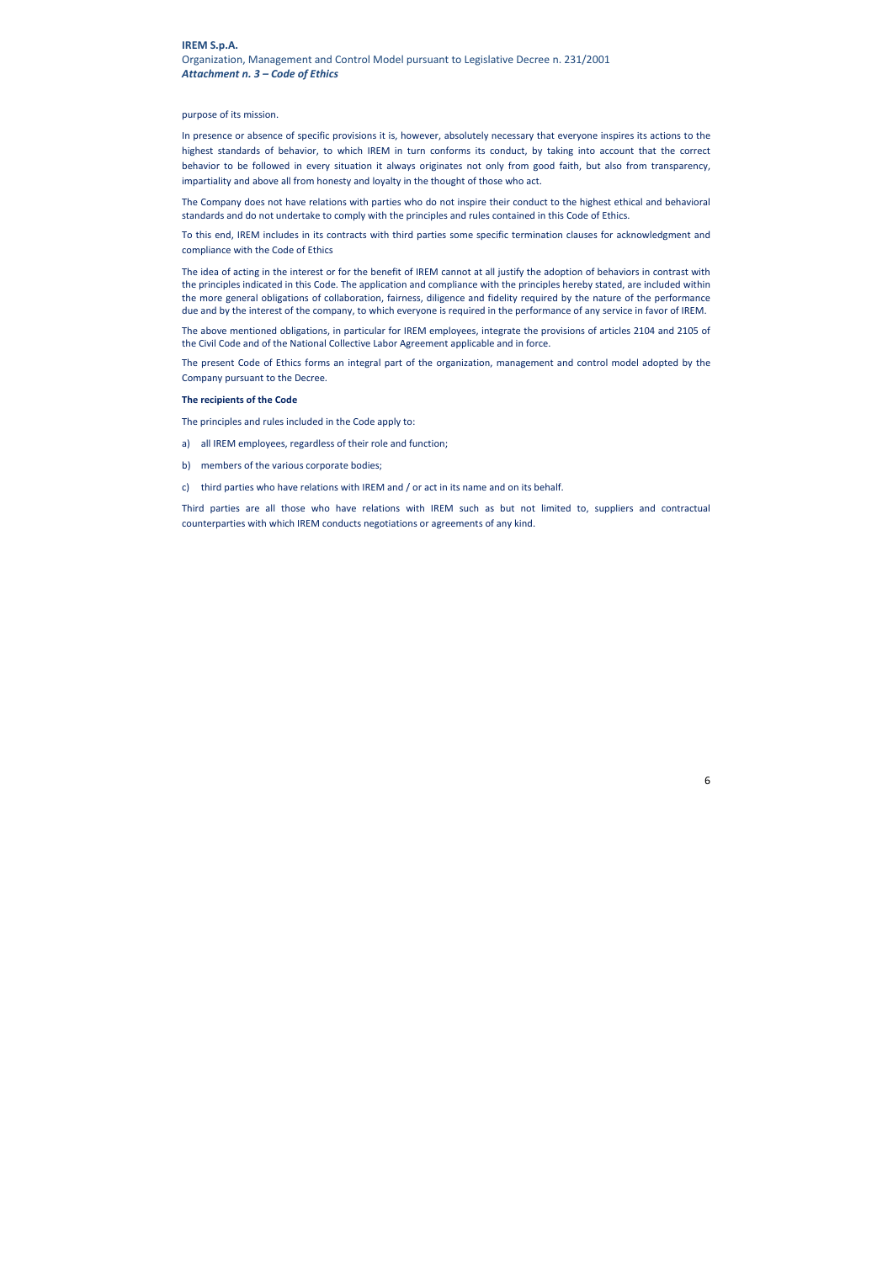# **IREM S.p.A.** Organization, Management and Control Model pursuant to Legislative Decree n. 231/2001 *Attachment n. 3 – Code of Ethics*

purpose of its mission.

In presence or absence of specific provisions it is, however, absolutely necessary that everyone inspires its actions to the highest standards of behavior, to which IREM in turn conforms its conduct, by taking into account that the correct behavior to be followed in every situation it always originates not only from good faith, but also from transparency, impartiality and above all from honesty and loyalty in the thought of those who act.

The Company does not have relations with parties who do not inspire their conduct to the highest ethical and behavioral standards and do not undertake to comply with the principles and rules contained in this Code of Ethics.

To this end, IREM includes in its contracts with third parties some specific termination clauses for acknowledgment and compliance with the Code of Ethics

The idea of acting in the interest or for the benefit of IREM cannot at all justify the adoption of behaviors in contrast with the principles indicated in this Code. The application and compliance with the principles hereby stated, are included within the more general obligations of collaboration, fairness, diligence and fidelity required by the nature of the performance due and by the interest of the company, to which everyone is required in the performance of any service in favor of IREM.

The above mentioned obligations, in particular for IREM employees, integrate the provisions of articles 2104 and 2105 of the Civil Code and of the National Collective Labor Agreement applicable and in force.

The present Code of Ethics forms an integral part of the organization, management and control model adopted by the Company pursuant to the Decree.

#### **The recipients of the Code**

The principles and rules included in the Code apply to:

- a) all IREM employees, regardless of their role and function;
- b) members of the various corporate bodies;
- c) third parties who have relations with IREM and / or act in its name and on its behalf.

Third parties are all those who have relations with IREM such as but not limited to, suppliers and contractual counterparties with which IREM conducts negotiations or agreements of any kind.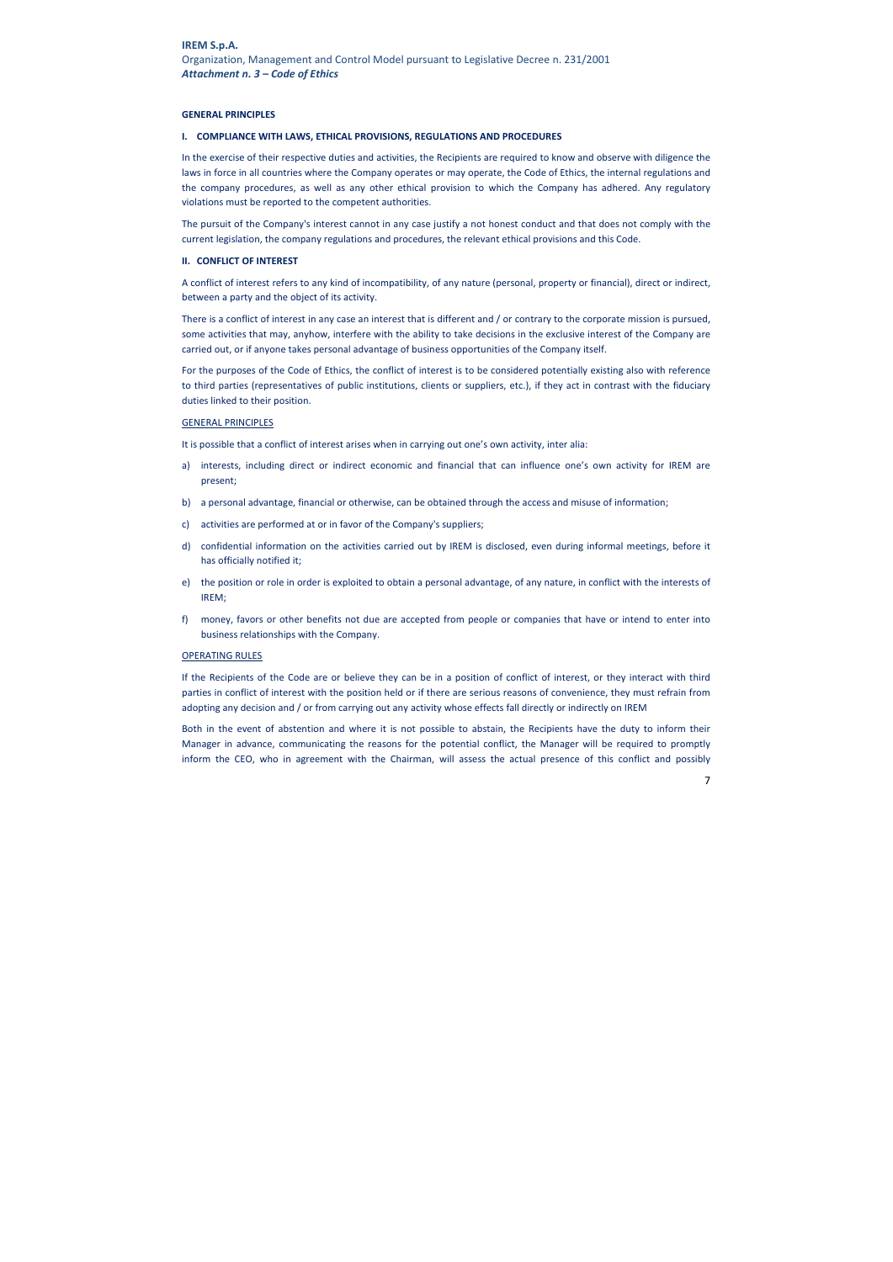## **GENERAL PRINCIPLES**

## **I. COMPLIANCE WITH LAWS, ETHICAL PROVISIONS, REGULATIONS AND PROCEDURES**

In the exercise of their respective duties and activities, the Recipients are required to know and observe with diligence the laws in force in all countries where the Company operates or may operate, the Code of Ethics, the internal regulations and the company procedures, as well as any other ethical provision to which the Company has adhered. Any regulatory violations must be reported to the competent authorities.

The pursuit of the Company's interest cannot in any case justify a not honest conduct and that does not comply with the current legislation, the company regulations and procedures, the relevant ethical provisions and this Code.

## **II. CONFLICT OF INTEREST**

A conflict of interest refers to any kind of incompatibility, of any nature (personal, property or financial), direct or indirect, between a party and the object of its activity.

There is a conflict of interest in any case an interest that is different and / or contrary to the corporate mission is pursued, some activities that may, anyhow, interfere with the ability to take decisions in the exclusive interest of the Company are carried out, or if anyone takes personal advantage of business opportunities of the Company itself.

For the purposes of the Code of Ethics, the conflict of interest is to be considered potentially existing also with reference to third parties (representatives of public institutions, clients or suppliers, etc.), if they act in contrast with the fiduciary duties linked to their position.

## GENERAL PRINCIPLES

It is possible that a conflict of interest arises when in carrying out one's own activity, inter alia:

- a) interests, including direct or indirect economic and financial that can influence one's own activity for IREM are present;
- b) a personal advantage, financial or otherwise, can be obtained through the access and misuse of information;
- c) activities are performed at or in favor of the Company's suppliers;
- d) confidential information on the activities carried out by IREM is disclosed, even during informal meetings, before it has officially notified it;
- e) the position or role in order is exploited to obtain a personal advantage, of any nature, in conflict with the interests of IREM;
- f) money, favors or other benefits not due are accepted from people or companies that have or intend to enter into business relationships with the Company.

#### OPERATING RULES

If the Recipients of the Code are or believe they can be in a position of conflict of interest, or they interact with third parties in conflict of interest with the position held or if there are serious reasons of convenience, they must refrain from adopting any decision and / or from carrying out any activity whose effects fall directly or indirectly on IREM

Both in the event of abstention and where it is not possible to abstain, the Recipients have the duty to inform their Manager in advance, communicating the reasons for the potential conflict, the Manager will be required to promptly inform the CEO, who in agreement with the Chairman, will assess the actual presence of this conflict and possibly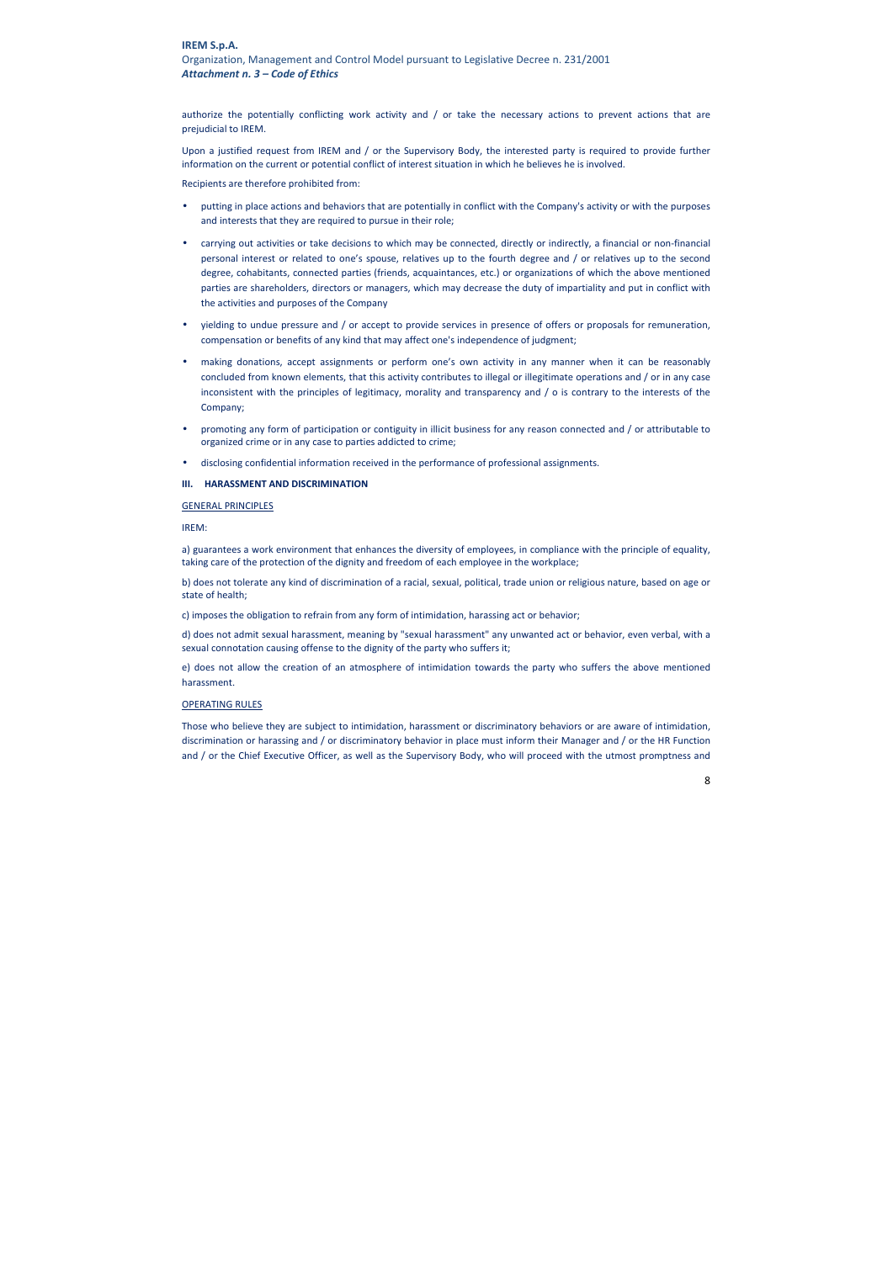authorize the potentially conflicting work activity and / or take the necessary actions to prevent actions that are prejudicial to IREM.

Upon a justified request from IREM and / or the Supervisory Body, the interested party is required to provide further information on the current or potential conflict of interest situation in which he believes he is involved.

Recipients are therefore prohibited from:

- putting in place actions and behaviors that are potentially in conflict with the Company's activity or with the purposes and interests that they are required to pursue in their role;
- carrying out activities or take decisions to which may be connected, directly or indirectly, a financial or non-financial personal interest or related to one's spouse, relatives up to the fourth degree and / or relatives up to the second degree, cohabitants, connected parties (friends, acquaintances, etc.) or organizations of which the above mentioned parties are shareholders, directors or managers, which may decrease the duty of impartiality and put in conflict with the activities and purposes of the Company
- yielding to undue pressure and / or accept to provide services in presence of offers or proposals for remuneration, compensation or benefits of any kind that may affect one's independence of judgment;
- making donations, accept assignments or perform one's own activity in any manner when it can be reasonably concluded from known elements, that this activity contributes to illegal or illegitimate operations and / or in any case inconsistent with the principles of legitimacy, morality and transparency and / o is contrary to the interests of the Company;
- promoting any form of participation or contiguity in illicit business for any reason connected and / or attributable to organized crime or in any case to parties addicted to crime;
- disclosing confidential information received in the performance of professional assignments.

## **III. HARASSMENT AND DISCRIMINATION**

#### GENERAL PRINCIPLES

IREM:

a) guarantees a work environment that enhances the diversity of employees, in compliance with the principle of equality, taking care of the protection of the dignity and freedom of each employee in the workplace;

b) does not tolerate any kind of discrimination of a racial, sexual, political, trade union or religious nature, based on age or state of health;

c) imposes the obligation to refrain from any form of intimidation, harassing act or behavior;

d) does not admit sexual harassment, meaning by "sexual harassment" any unwanted act or behavior, even verbal, with a sexual connotation causing offense to the dignity of the party who suffers it;

e) does not allow the creation of an atmosphere of intimidation towards the party who suffers the above mentioned harassment.

#### OPERATING RULES

Those who believe they are subject to intimidation, harassment or discriminatory behaviors or are aware of intimidation, discrimination or harassing and / or discriminatory behavior in place must inform their Manager and / or the HR Function and / or the Chief Executive Officer, as well as the Supervisory Body, who will proceed with the utmost promptness and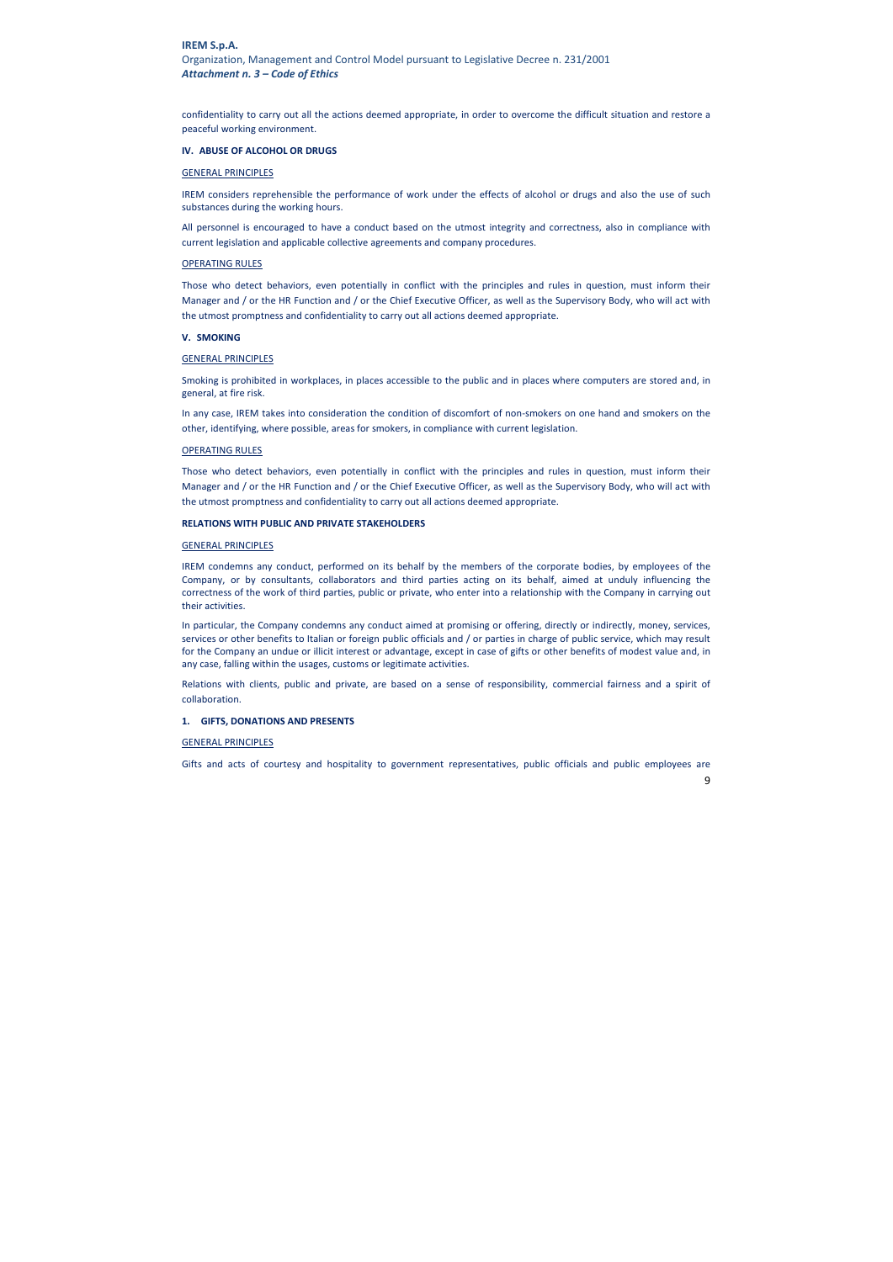# **IREM S.p.A.** Organization, Management and Control Model pursuant to Legislative Decree n. 231/2001 *Attachment n. 3 – Code of Ethics*

confidentiality to carry out all the actions deemed appropriate, in order to overcome the difficult situation and restore a peaceful working environment.

#### **IV. ABUSE OF ALCOHOL OR DRUGS**

#### GENERAL PRINCIPLES

IREM considers reprehensible the performance of work under the effects of alcohol or drugs and also the use of such substances during the working hours.

All personnel is encouraged to have a conduct based on the utmost integrity and correctness, also in compliance with current legislation and applicable collective agreements and company procedures.

## OPERATING RULES

Those who detect behaviors, even potentially in conflict with the principles and rules in question, must inform their Manager and / or the HR Function and / or the Chief Executive Officer, as well as the Supervisory Body, who will act with the utmost promptness and confidentiality to carry out all actions deemed appropriate.

#### **V. SMOKING**

#### GENERAL PRINCIPLES

Smoking is prohibited in workplaces, in places accessible to the public and in places where computers are stored and, in general, at fire risk.

In any case, IREM takes into consideration the condition of discomfort of non-smokers on one hand and smokers on the other, identifying, where possible, areas for smokers, in compliance with current legislation.

#### OPERATING RULES

Those who detect behaviors, even potentially in conflict with the principles and rules in question, must inform their Manager and / or the HR Function and / or the Chief Executive Officer, as well as the Supervisory Body, who will act with the utmost promptness and confidentiality to carry out all actions deemed appropriate.

#### **RELATIONS WITH PUBLIC AND PRIVATE STAKEHOLDERS**

## GENERAL PRINCIPLES

IREM condemns any conduct, performed on its behalf by the members of the corporate bodies, by employees of the Company, or by consultants, collaborators and third parties acting on its behalf, aimed at unduly influencing the correctness of the work of third parties, public or private, who enter into a relationship with the Company in carrying out their activities.

In particular, the Company condemns any conduct aimed at promising or offering, directly or indirectly, money, services, services or other benefits to Italian or foreign public officials and / or parties in charge of public service, which may result for the Company an undue or illicit interest or advantage, except in case of gifts or other benefits of modest value and, in any case, falling within the usages, customs or legitimate activities.

Relations with clients, public and private, are based on a sense of responsibility, commercial fairness and a spirit of collaboration.

#### **1. GIFTS, DONATIONS AND PRESENTS**

#### GENERAL PRINCIPLES

Gifts and acts of courtesy and hospitality to government representatives, public officials and public employees are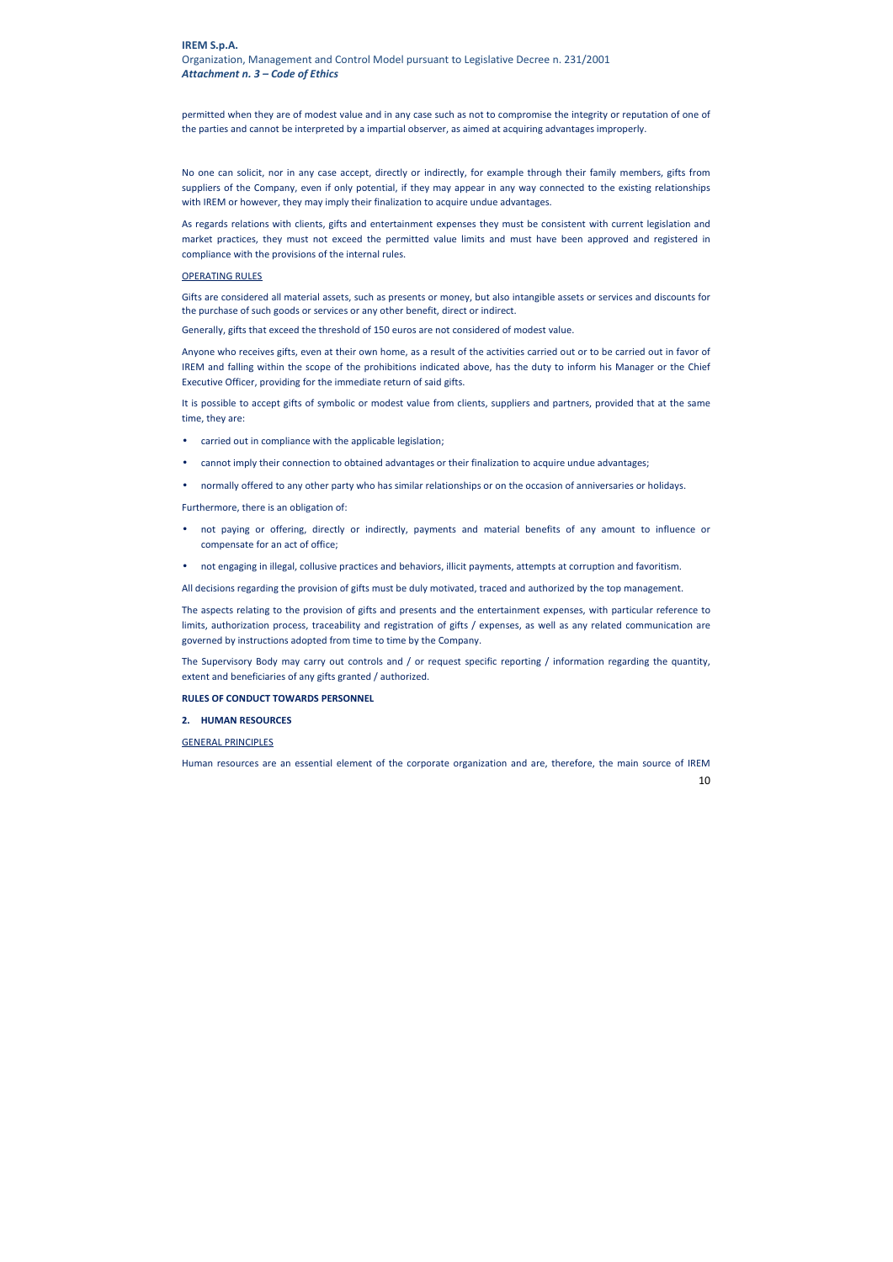permitted when they are of modest value and in any case such as not to compromise the integrity or reputation of one of the parties and cannot be interpreted by a impartial observer, as aimed at acquiring advantages improperly.

No one can solicit, nor in any case accept, directly or indirectly, for example through their family members, gifts from suppliers of the Company, even if only potential, if they may appear in any way connected to the existing relationships with IREM or however, they may imply their finalization to acquire undue advantages.

As regards relations with clients, gifts and entertainment expenses they must be consistent with current legislation and market practices, they must not exceed the permitted value limits and must have been approved and registered in compliance with the provisions of the internal rules.

#### OPERATING RULES

Gifts are considered all material assets, such as presents or money, but also intangible assets or services and discounts for the purchase of such goods or services or any other benefit, direct or indirect.

Generally, gifts that exceed the threshold of 150 euros are not considered of modest value.

Anyone who receives gifts, even at their own home, as a result of the activities carried out or to be carried out in favor of IREM and falling within the scope of the prohibitions indicated above, has the duty to inform his Manager or the Chief Executive Officer, providing for the immediate return of said gifts.

It is possible to accept gifts of symbolic or modest value from clients, suppliers and partners, provided that at the same time, they are:

- carried out in compliance with the applicable legislation;
- cannot imply their connection to obtained advantages or their finalization to acquire undue advantages;
- normally offered to any other party who has similar relationships or on the occasion of anniversaries or holidays.

Furthermore, there is an obligation of:

- not paying or offering, directly or indirectly, payments and material benefits of any amount to influence or compensate for an act of office;
- not engaging in illegal, collusive practices and behaviors, illicit payments, attempts at corruption and favoritism.

All decisions regarding the provision of gifts must be duly motivated, traced and authorized by the top management.

The aspects relating to the provision of gifts and presents and the entertainment expenses, with particular reference to limits, authorization process, traceability and registration of gifts / expenses, as well as any related communication are governed by instructions adopted from time to time by the Company.

The Supervisory Body may carry out controls and / or request specific reporting / information regarding the quantity, extent and beneficiaries of any gifts granted / authorized.

## **RULES OF CONDUCT TOWARDS PERSONNEL**

#### **2. HUMAN RESOURCES**

## GENERAL PRINCIPLES

Human resources are an essential element of the corporate organization and are, therefore, the main source of IREM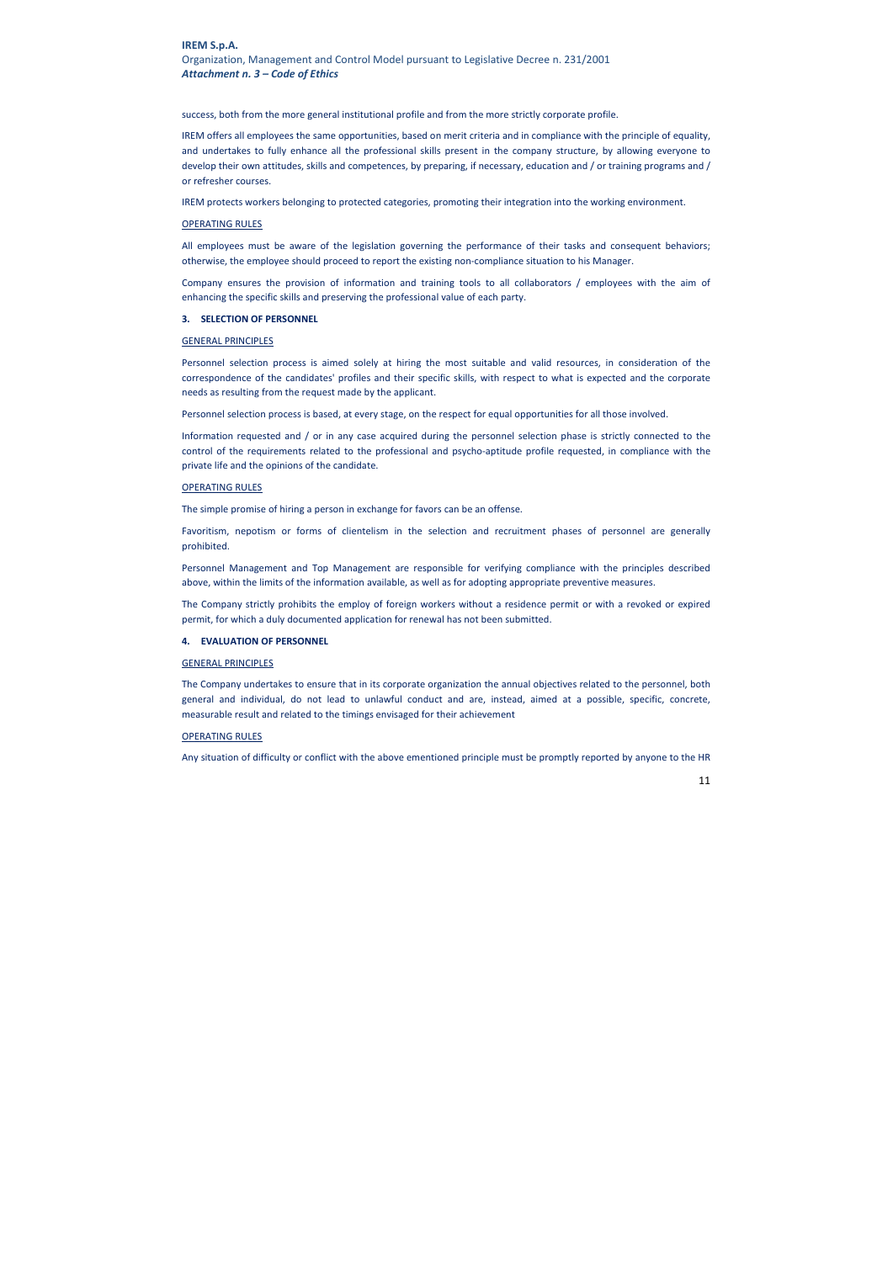# **IREM S.p.A.** Organization, Management and Control Model pursuant to Legislative Decree n. 231/2001 *Attachment n. 3 – Code of Ethics*

success, both from the more general institutional profile and from the more strictly corporate profile.

IREM offers all employees the same opportunities, based on merit criteria and in compliance with the principle of equality, and undertakes to fully enhance all the professional skills present in the company structure, by allowing everyone to develop their own attitudes, skills and competences, by preparing, if necessary, education and / or training programs and / or refresher courses.

IREM protects workers belonging to protected categories, promoting their integration into the working environment.

#### OPERATING RULES

All employees must be aware of the legislation governing the performance of their tasks and consequent behaviors; otherwise, the employee should proceed to report the existing non-compliance situation to his Manager.

Company ensures the provision of information and training tools to all collaborators / employees with the aim of enhancing the specific skills and preserving the professional value of each party.

## **3. SELECTION OF PERSONNEL**

#### GENERAL PRINCIPLES

Personnel selection process is aimed solely at hiring the most suitable and valid resources, in consideration of the correspondence of the candidates' profiles and their specific skills, with respect to what is expected and the corporate needs as resulting from the request made by the applicant.

Personnel selection process is based, at every stage, on the respect for equal opportunities for all those involved.

Information requested and / or in any case acquired during the personnel selection phase is strictly connected to the control of the requirements related to the professional and psycho-aptitude profile requested, in compliance with the private life and the opinions of the candidate.

## OPERATING RULES

The simple promise of hiring a person in exchange for favors can be an offense.

Favoritism, nepotism or forms of clientelism in the selection and recruitment phases of personnel are generally prohibited.

Personnel Management and Top Management are responsible for verifying compliance with the principles described above, within the limits of the information available, as well as for adopting appropriate preventive measures.

The Company strictly prohibits the employ of foreign workers without a residence permit or with a revoked or expired permit, for which a duly documented application for renewal has not been submitted.

## **4. EVALUATION OF PERSONNEL**

#### GENERAL PRINCIPLES

The Company undertakes to ensure that in its corporate organization the annual objectives related to the personnel, both general and individual, do not lead to unlawful conduct and are, instead, aimed at a possible, specific, concrete, measurable result and related to the timings envisaged for their achievement

#### OPERATING RULES

Any situation of difficulty or conflict with the above ementioned principle must be promptly reported by anyone to the HR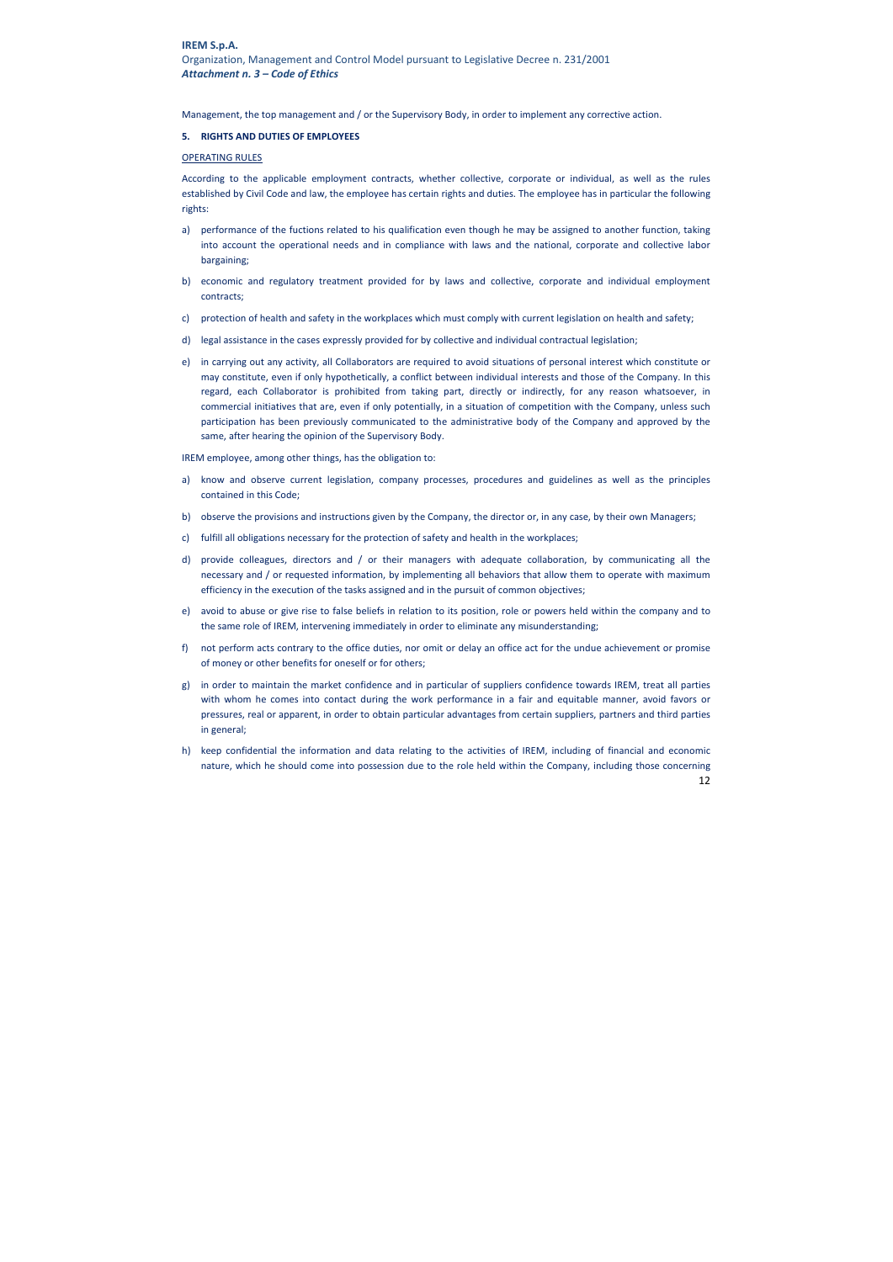Management, the top management and / or the Supervisory Body, in order to implement any corrective action.

#### **5. RIGHTS AND DUTIES OF EMPLOYEES**

#### OPERATING RULES

According to the applicable employment contracts, whether collective, corporate or individual, as well as the rules established by Civil Code and law, the employee has certain rights and duties. The employee has in particular the following rights:

- a) performance of the fuctions related to his qualification even though he may be assigned to another function, taking into account the operational needs and in compliance with laws and the national, corporate and collective labor bargaining;
- b) economic and regulatory treatment provided for by laws and collective, corporate and individual employment contracts;
- c) protection of health and safety in the workplaces which must comply with current legislation on health and safety;
- d) legal assistance in the cases expressly provided for by collective and individual contractual legislation;
- e) in carrying out any activity, all Collaborators are required to avoid situations of personal interest which constitute or may constitute, even if only hypothetically, a conflict between individual interests and those of the Company. In this regard, each Collaborator is prohibited from taking part, directly or indirectly, for any reason whatsoever, in commercial initiatives that are, even if only potentially, in a situation of competition with the Company, unless such participation has been previously communicated to the administrative body of the Company and approved by the same, after hearing the opinion of the Supervisory Body.

IREM employee, among other things, has the obligation to:

- a) know and observe current legislation, company processes, procedures and guidelines as well as the principles contained in this Code;
- b) observe the provisions and instructions given by the Company, the director or, in any case, by their own Managers;
- c) fulfill all obligations necessary for the protection of safety and health in the workplaces;
- d) provide colleagues, directors and / or their managers with adequate collaboration, by communicating all the necessary and / or requested information, by implementing all behaviors that allow them to operate with maximum efficiency in the execution of the tasks assigned and in the pursuit of common objectives;
- e) avoid to abuse or give rise to false beliefs in relation to its position, role or powers held within the company and to the same role of IREM, intervening immediately in order to eliminate any misunderstanding;
- f) not perform acts contrary to the office duties, nor omit or delay an office act for the undue achievement or promise of money or other benefits for oneself or for others;
- g) in order to maintain the market confidence and in particular of suppliers confidence towards IREM, treat all parties with whom he comes into contact during the work performance in a fair and equitable manner, avoid favors or pressures, real or apparent, in order to obtain particular advantages from certain suppliers, partners and third parties in general;
- h) keep confidential the information and data relating to the activities of IREM, including of financial and economic nature, which he should come into possession due to the role held within the Company, including those concerning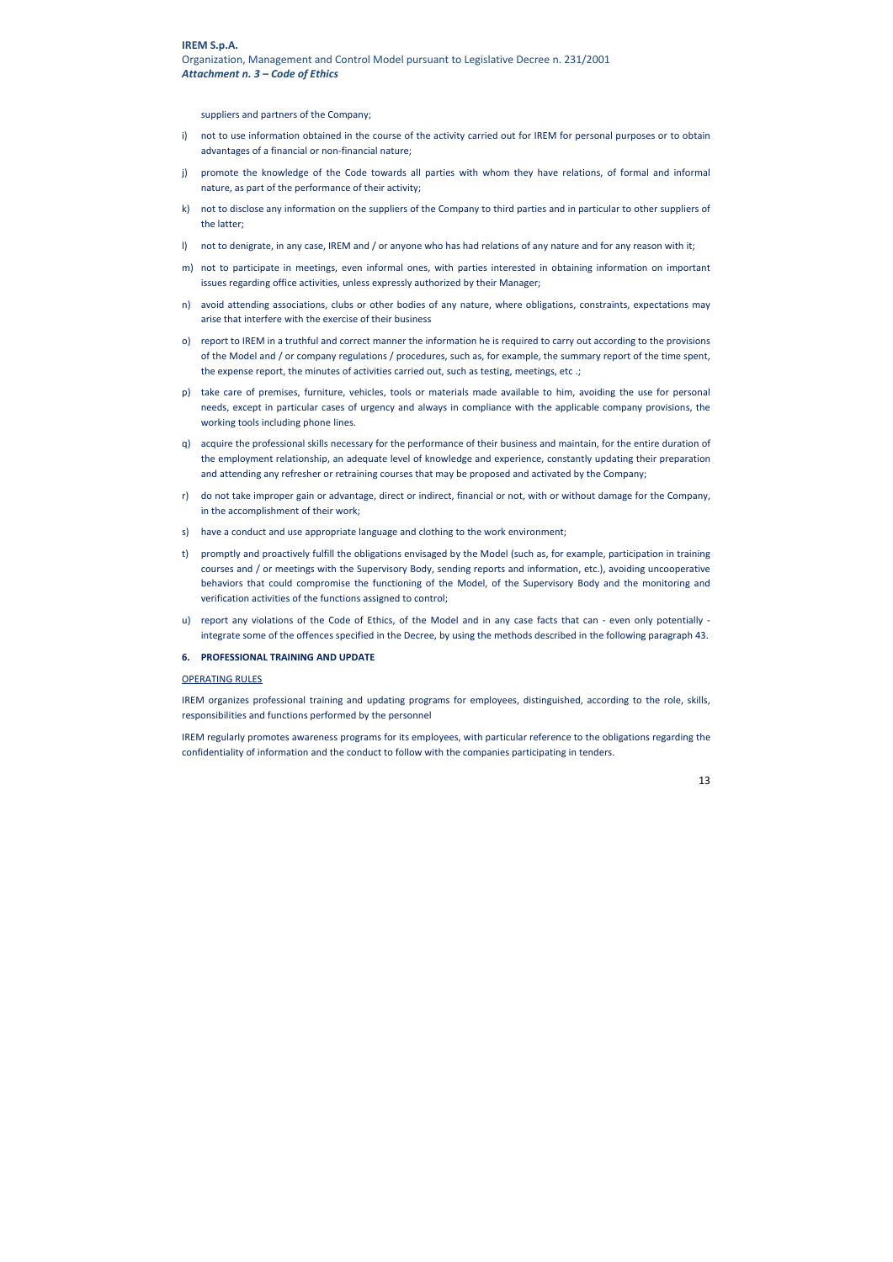suppliers and partners of the Company;

- i) not to use information obtained in the course of the activity carried out for IREM for personal purposes or to obtain advantages of a financial or non-financial nature;
- j) promote the knowledge of the Code towards all parties with whom they have relations, of formal and informal nature, as part of the performance of their activity;
- k) not to disclose any information on the suppliers of the Company to third parties and in particular to other suppliers of the latter;
- l) not to denigrate, in any case, IREM and / or anyone who has had relations of any nature and for any reason with it;
- m) not to participate in meetings, even informal ones, with parties interested in obtaining information on important issues regarding office activities, unless expressly authorized by their Manager;
- n) avoid attending associations, clubs or other bodies of any nature, where obligations, constraints, expectations may arise that interfere with the exercise of their business
- o) report to IREM in a truthful and correct manner the information he is required to carry out according to the provisions of the Model and / or company regulations / procedures, such as, for example, the summary report of the time spent, the expense report, the minutes of activities carried out, such as testing, meetings, etc .;
- p) take care of premises, furniture, vehicles, tools or materials made available to him, avoiding the use for personal needs, except in particular cases of urgency and always in compliance with the applicable company provisions, the working tools including phone lines.
- q) acquire the professional skills necessary for the performance of their business and maintain, for the entire duration of the employment relationship, an adequate level of knowledge and experience, constantly updating their preparation and attending any refresher or retraining courses that may be proposed and activated by the Company;
- r) do not take improper gain or advantage, direct or indirect, financial or not, with or without damage for the Company, in the accomplishment of their work;
- s) have a conduct and use appropriate language and clothing to the work environment;
- t) promptly and proactively fulfill the obligations envisaged by the Model (such as, for example, participation in training courses and / or meetings with the Supervisory Body, sending reports and information, etc.), avoiding uncooperative behaviors that could compromise the functioning of the Model, of the Supervisory Body and the monitoring and verification activities of the functions assigned to control;
- u) report any violations of the Code of Ethics, of the Model and in any case facts that can even only potentially integrate some of the offences specified in the Decree, by using the methods described in the following paragraph 43.

#### **6. PROFESSIONAL TRAINING AND UPDATE**

#### OPERATING RULES

IREM organizes professional training and updating programs for employees, distinguished, according to the role, skills, responsibilities and functions performed by the personnel

IREM regularly promotes awareness programs for its employees, with particular reference to the obligations regarding the confidentiality of information and the conduct to follow with the companies participating in tenders.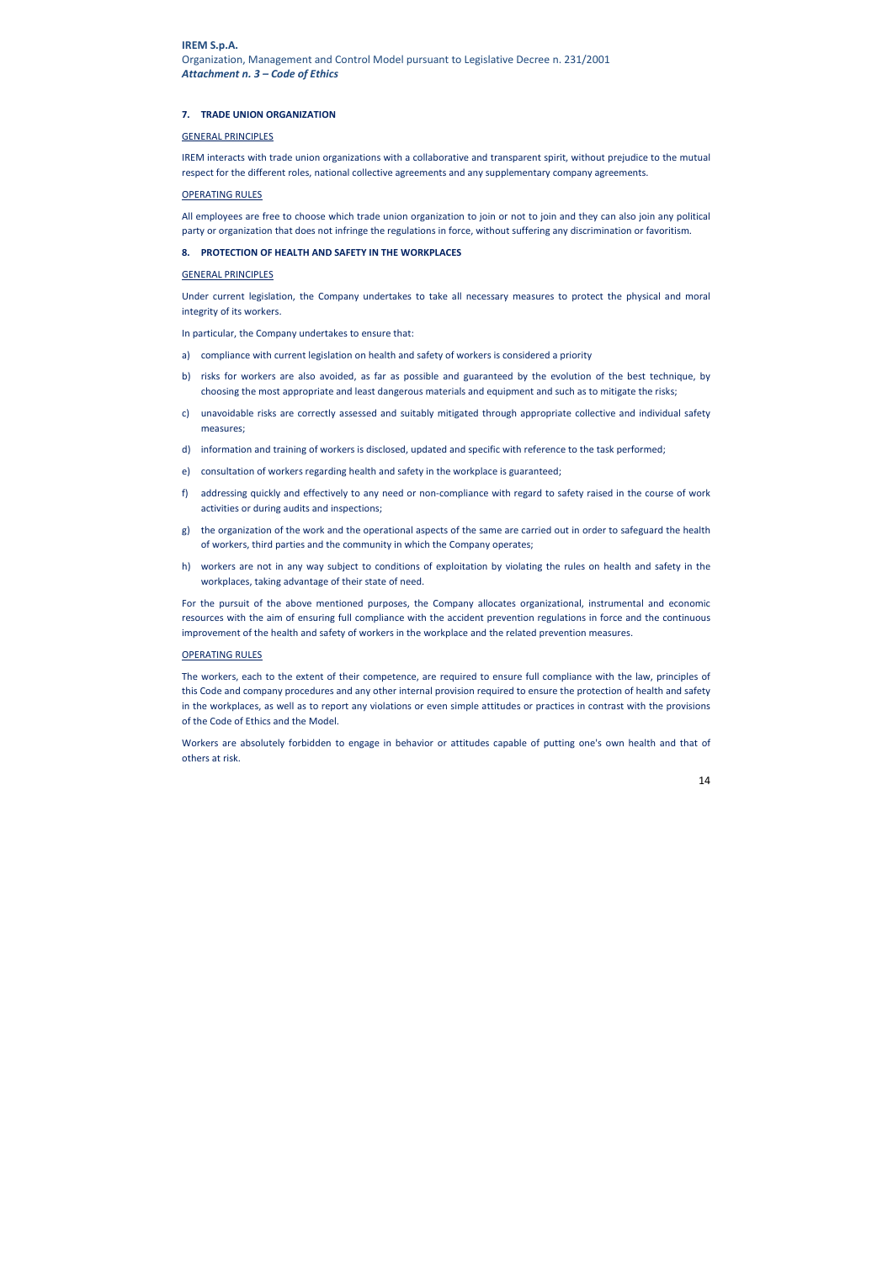## **7. TRADE UNION ORGANIZATION**

## GENERAL PRINCIPLES

IREM interacts with trade union organizations with a collaborative and transparent spirit, without prejudice to the mutual respect for the different roles, national collective agreements and any supplementary company agreements.

#### OPERATING RULES

All employees are free to choose which trade union organization to join or not to join and they can also join any political party or organization that does not infringe the regulations in force, without suffering any discrimination or favoritism.

## **8. PROTECTION OF HEALTH AND SAFETY IN THE WORKPLACES**

## GENERAL PRINCIPLES

Under current legislation, the Company undertakes to take all necessary measures to protect the physical and moral integrity of its workers.

In particular, the Company undertakes to ensure that:

- a) compliance with current legislation on health and safety of workers is considered a priority
- b) risks for workers are also avoided, as far as possible and guaranteed by the evolution of the best technique, by choosing the most appropriate and least dangerous materials and equipment and such as to mitigate the risks;
- c) unavoidable risks are correctly assessed and suitably mitigated through appropriate collective and individual safety measures;
- d) information and training of workers is disclosed, updated and specific with reference to the task performed;
- e) consultation of workers regarding health and safety in the workplace is guaranteed;
- f) addressing quickly and effectively to any need or non-compliance with regard to safety raised in the course of work activities or during audits and inspections;
- g) the organization of the work and the operational aspects of the same are carried out in order to safeguard the health of workers, third parties and the community in which the Company operates;
- h) workers are not in any way subject to conditions of exploitation by violating the rules on health and safety in the workplaces, taking advantage of their state of need.

For the pursuit of the above mentioned purposes, the Company allocates organizational, instrumental and economic resources with the aim of ensuring full compliance with the accident prevention regulations in force and the continuous improvement of the health and safety of workers in the workplace and the related prevention measures.

#### OPERATING RULES

The workers, each to the extent of their competence, are required to ensure full compliance with the law, principles of this Code and company procedures and any other internal provision required to ensure the protection of health and safety in the workplaces, as well as to report any violations or even simple attitudes or practices in contrast with the provisions of the Code of Ethics and the Model.

Workers are absolutely forbidden to engage in behavior or attitudes capable of putting one's own health and that of others at risk.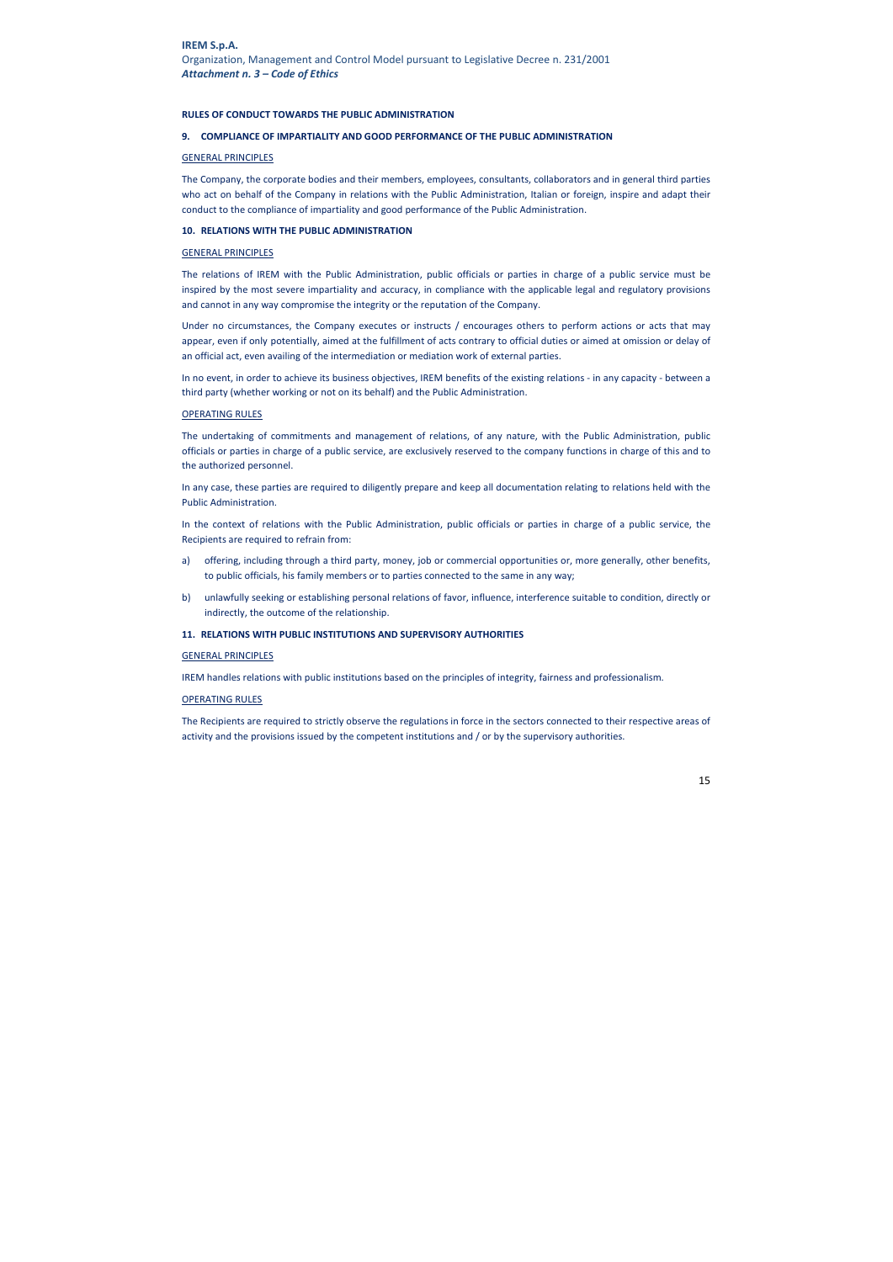## **RULES OF CONDUCT TOWARDS THE PUBLIC ADMINISTRATION**

#### **9. COMPLIANCE OF IMPARTIALITY AND GOOD PERFORMANCE OF THE PUBLIC ADMINISTRATION**

## GENERAL PRINCIPLES

The Company, the corporate bodies and their members, employees, consultants, collaborators and in general third parties who act on behalf of the Company in relations with the Public Administration, Italian or foreign, inspire and adapt their conduct to the compliance of impartiality and good performance of the Public Administration.

## **10. RELATIONS WITH THE PUBLIC ADMINISTRATION**

## GENERAL PRINCIPLES

The relations of IREM with the Public Administration, public officials or parties in charge of a public service must be inspired by the most severe impartiality and accuracy, in compliance with the applicable legal and regulatory provisions and cannot in any way compromise the integrity or the reputation of the Company.

Under no circumstances, the Company executes or instructs / encourages others to perform actions or acts that may appear, even if only potentially, aimed at the fulfillment of acts contrary to official duties or aimed at omission or delay of an official act, even availing of the intermediation or mediation work of external parties.

In no event, in order to achieve its business objectives, IREM benefits of the existing relations - in any capacity - between a third party (whether working or not on its behalf) and the Public Administration.

## OPERATING RULES

The undertaking of commitments and management of relations, of any nature, with the Public Administration, public officials or parties in charge of a public service, are exclusively reserved to the company functions in charge of this and to the authorized personnel.

In any case, these parties are required to diligently prepare and keep all documentation relating to relations held with the Public Administration.

In the context of relations with the Public Administration, public officials or parties in charge of a public service, the Recipients are required to refrain from:

- a) offering, including through a third party, money, job or commercial opportunities or, more generally, other benefits, to public officials, his family members or to parties connected to the same in any way;
- b) unlawfully seeking or establishing personal relations of favor, influence, interference suitable to condition, directly or indirectly, the outcome of the relationship.

## **11. RELATIONS WITH PUBLIC INSTITUTIONS AND SUPERVISORY AUTHORITIES**

#### GENERAL PRINCIPLES

IREM handles relations with public institutions based on the principles of integrity, fairness and professionalism.

#### OPERATING RULES

The Recipients are required to strictly observe the regulations in force in the sectors connected to their respective areas of activity and the provisions issued by the competent institutions and / or by the supervisory authorities.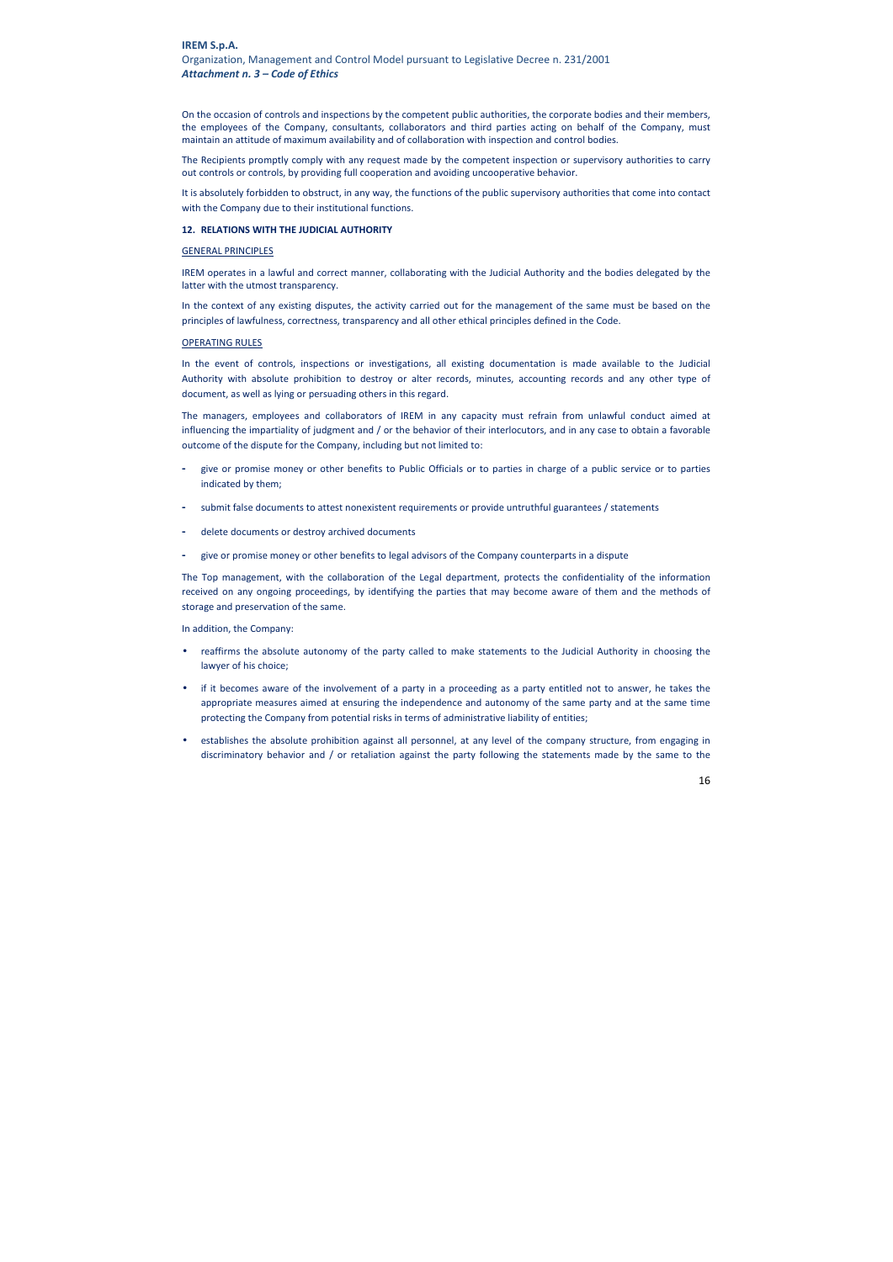On the occasion of controls and inspections by the competent public authorities, the corporate bodies and their members, the employees of the Company, consultants, collaborators and third parties acting on behalf of the Company, must maintain an attitude of maximum availability and of collaboration with inspection and control bodies.

The Recipients promptly comply with any request made by the competent inspection or supervisory authorities to carry out controls or controls, by providing full cooperation and avoiding uncooperative behavior.

It is absolutely forbidden to obstruct, in any way, the functions of the public supervisory authorities that come into contact with the Company due to their institutional functions.

## **12. RELATIONS WITH THE JUDICIAL AUTHORITY**

#### GENERAL PRINCIPLES

IREM operates in a lawful and correct manner, collaborating with the Judicial Authority and the bodies delegated by the latter with the utmost transparency.

In the context of any existing disputes, the activity carried out for the management of the same must be based on the principles of lawfulness, correctness, transparency and all other ethical principles defined in the Code.

## OPERATING RULES

In the event of controls, inspections or investigations, all existing documentation is made available to the Judicial Authority with absolute prohibition to destroy or alter records, minutes, accounting records and any other type of document, as well as lying or persuading others in this regard.

The managers, employees and collaborators of IREM in any capacity must refrain from unlawful conduct aimed at influencing the impartiality of judgment and / or the behavior of their interlocutors, and in any case to obtain a favorable outcome of the dispute for the Company, including but not limited to:

- **-** give or promise money or other benefits to Public Officials or to parties in charge of a public service or to parties indicated by them;
- **-** submit false documents to attest nonexistent requirements or provide untruthful guarantees / statements
- **-** delete documents or destroy archived documents
- **-** give or promise money or other benefits to legal advisors of the Company counterparts in a dispute

The Top management, with the collaboration of the Legal department, protects the confidentiality of the information received on any ongoing proceedings, by identifying the parties that may become aware of them and the methods of storage and preservation of the same.

In addition, the Company:

- reaffirms the absolute autonomy of the party called to make statements to the Judicial Authority in choosing the lawyer of his choice;
- if it becomes aware of the involvement of a party in a proceeding as a party entitled not to answer, he takes the appropriate measures aimed at ensuring the independence and autonomy of the same party and at the same time protecting the Company from potential risks in terms of administrative liability of entities;
- establishes the absolute prohibition against all personnel, at any level of the company structure, from engaging in discriminatory behavior and / or retaliation against the party following the statements made by the same to the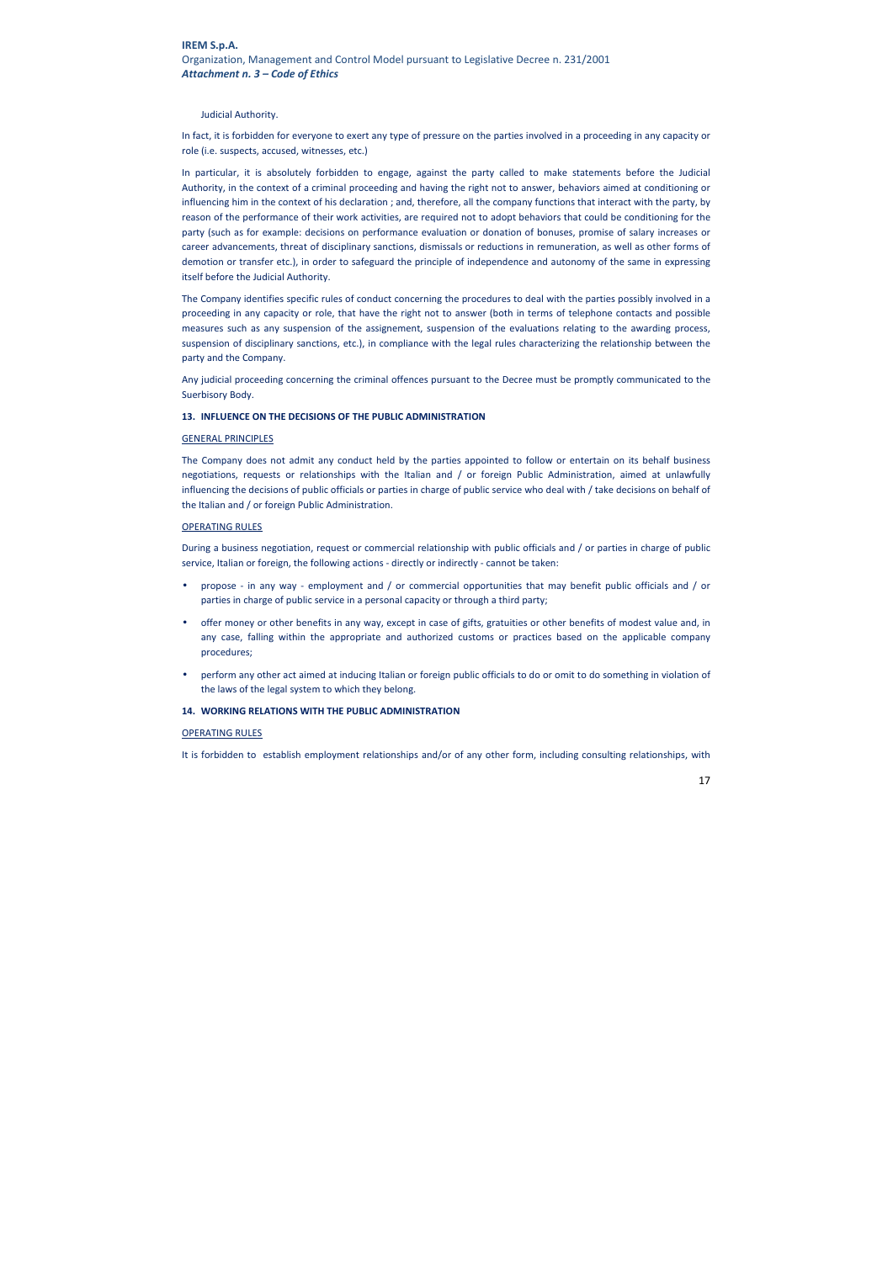#### Judicial Authority.

In fact, it is forbidden for everyone to exert any type of pressure on the parties involved in a proceeding in any capacity or role (i.e. suspects, accused, witnesses, etc.)

In particular, it is absolutely forbidden to engage, against the party called to make statements before the Judicial Authority, in the context of a criminal proceeding and having the right not to answer, behaviors aimed at conditioning or influencing him in the context of his declaration ; and, therefore, all the company functions that interact with the party, by reason of the performance of their work activities, are required not to adopt behaviors that could be conditioning for the party (such as for example: decisions on performance evaluation or donation of bonuses, promise of salary increases or career advancements, threat of disciplinary sanctions, dismissals or reductions in remuneration, as well as other forms of demotion or transfer etc.), in order to safeguard the principle of independence and autonomy of the same in expressing itself before the Judicial Authority.

The Company identifies specific rules of conduct concerning the procedures to deal with the parties possibly involved in a proceeding in any capacity or role, that have the right not to answer (both in terms of telephone contacts and possible measures such as any suspension of the assignement, suspension of the evaluations relating to the awarding process, suspension of disciplinary sanctions, etc.), in compliance with the legal rules characterizing the relationship between the party and the Company.

Any judicial proceeding concerning the criminal offences pursuant to the Decree must be promptly communicated to the Suerbisory Body.

## **13. INFLUENCE ON THE DECISIONS OF THE PUBLIC ADMINISTRATION**

#### GENERAL PRINCIPLES

The Company does not admit any conduct held by the parties appointed to follow or entertain on its behalf business negotiations, requests or relationships with the Italian and / or foreign Public Administration, aimed at unlawfully influencing the decisions of public officials or parties in charge of public service who deal with / take decisions on behalf of the Italian and / or foreign Public Administration.

#### OPERATING RULES

During a business negotiation, request or commercial relationship with public officials and / or parties in charge of public service, Italian or foreign, the following actions - directly or indirectly - cannot be taken:

- propose in any way employment and / or commercial opportunities that may benefit public officials and / or parties in charge of public service in a personal capacity or through a third party;
- offer money or other benefits in any way, except in case of gifts, gratuities or other benefits of modest value and, in any case, falling within the appropriate and authorized customs or practices based on the applicable company procedures;
- perform any other act aimed at inducing Italian or foreign public officials to do or omit to do something in violation of the laws of the legal system to which they belong.

#### **14. WORKING RELATIONS WITH THE PUBLIC ADMINISTRATION**

#### OPERATING RULES

It is forbidden to establish employment relationships and/or of any other form, including consulting relationships, with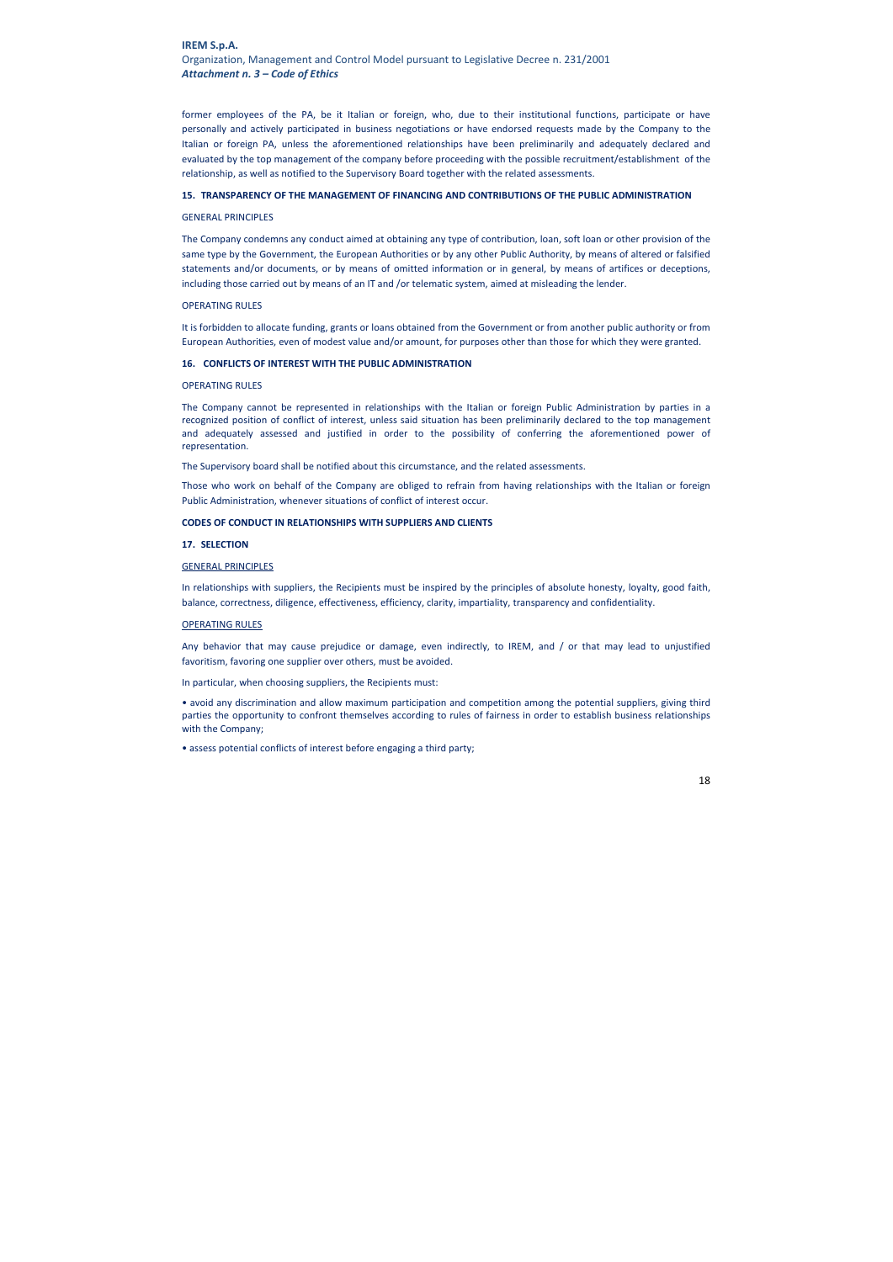former employees of the PA, be it Italian or foreign, who, due to their institutional functions, participate or have personally and actively participated in business negotiations or have endorsed requests made by the Company to the Italian or foreign PA, unless the aforementioned relationships have been preliminarily and adequately declared and evaluated by the top management of the company before proceeding with the possible recruitment/establishment of the relationship, as well as notified to the Supervisory Board together with the related assessments.

## **15. TRANSPARENCY OF THE MANAGEMENT OF FINANCING AND CONTRIBUTIONS OF THE PUBLIC ADMINISTRATION**

## GENERAL PRINCIPLES

The Company condemns any conduct aimed at obtaining any type of contribution, loan, soft loan or other provision of the same type by the Government, the European Authorities or by any other Public Authority, by means of altered or falsified statements and/or documents, or by means of omitted information or in general, by means of artifices or deceptions, including those carried out by means of an IT and /or telematic system, aimed at misleading the lender.

## OPERATING RULES

It is forbidden to allocate funding, grants or loans obtained from the Government or from another public authority or from European Authorities, even of modest value and/or amount, for purposes other than those for which they were granted.

## **16. CONFLICTS OF INTEREST WITH THE PUBLIC ADMINISTRATION**

## OPERATING RULES

The Company cannot be represented in relationships with the Italian or foreign Public Administration by parties in a recognized position of conflict of interest, unless said situation has been preliminarily declared to the top management and adequately assessed and justified in order to the possibility of conferring the aforementioned power of representation.

The Supervisory board shall be notified about this circumstance, and the related assessments.

Those who work on behalf of the Company are obliged to refrain from having relationships with the Italian or foreign Public Administration, whenever situations of conflict of interest occur.

## **CODES OF CONDUCT IN RELATIONSHIPS WITH SUPPLIERS AND CLIENTS**

## **17. SELECTION**

#### GENERAL PRINCIPLES

In relationships with suppliers, the Recipients must be inspired by the principles of absolute honesty, loyalty, good faith, balance, correctness, diligence, effectiveness, efficiency, clarity, impartiality, transparency and confidentiality.

## OPERATING RULES

Any behavior that may cause prejudice or damage, even indirectly, to IREM, and / or that may lead to unjustified favoritism, favoring one supplier over others, must be avoided.

In particular, when choosing suppliers, the Recipients must:

• avoid any discrimination and allow maximum participation and competition among the potential suppliers, giving third parties the opportunity to confront themselves according to rules of fairness in order to establish business relationships with the Company;

• assess potential conflicts of interest before engaging a third party;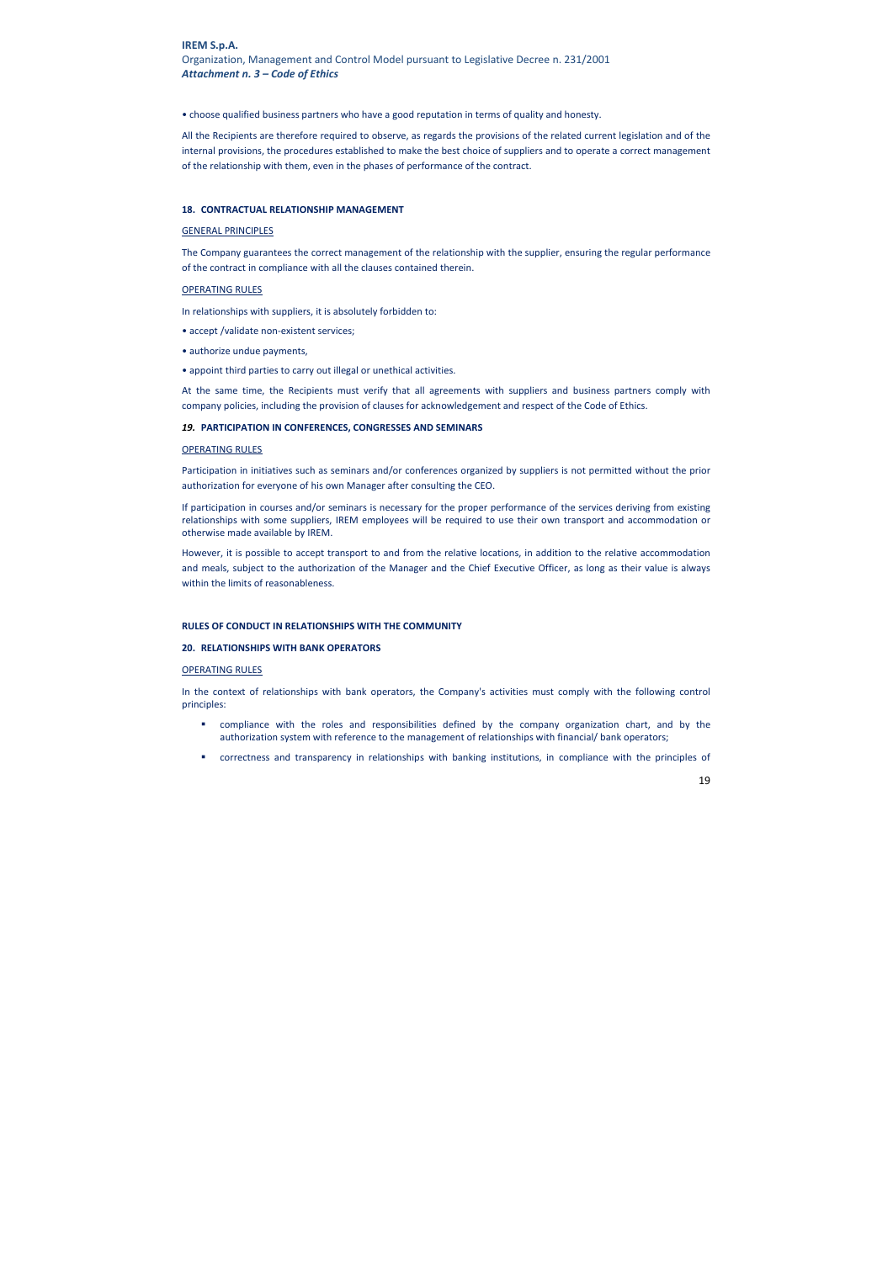• choose qualified business partners who have a good reputation in terms of quality and honesty.

All the Recipients are therefore required to observe, as regards the provisions of the related current legislation and of the internal provisions, the procedures established to make the best choice of suppliers and to operate a correct management of the relationship with them, even in the phases of performance of the contract.

#### **18. CONTRACTUAL RELATIONSHIP MANAGEMENT**

#### GENERAL PRINCIPLES

The Company guarantees the correct management of the relationship with the supplier, ensuring the regular performance of the contract in compliance with all the clauses contained therein.

## OPERATING RULES

In relationships with suppliers, it is absolutely forbidden to:

- accept /validate non-existent services;
- authorize undue payments,
- appoint third parties to carry out illegal or unethical activities.

At the same time, the Recipients must verify that all agreements with suppliers and business partners comply with company policies, including the provision of clauses for acknowledgement and respect of the Code of Ethics.

## *19.* **PARTICIPATION IN CONFERENCES, CONGRESSES AND SEMINARS**

## OPERATING RULES

Participation in initiatives such as seminars and/or conferences organized by suppliers is not permitted without the prior authorization for everyone of his own Manager after consulting the CEO.

If participation in courses and/or seminars is necessary for the proper performance of the services deriving from existing relationships with some suppliers, IREM employees will be required to use their own transport and accommodation or otherwise made available by IREM.

However, it is possible to accept transport to and from the relative locations, in addition to the relative accommodation and meals, subject to the authorization of the Manager and the Chief Executive Officer, as long as their value is always within the limits of reasonableness.

## **RULES OF CONDUCT IN RELATIONSHIPS WITH THE COMMUNITY**

#### **20. RELATIONSHIPS WITH BANK OPERATORS**

#### OPERATING RULES

In the context of relationships with bank operators, the Company's activities must comply with the following control principles:

- compliance with the roles and responsibilities defined by the company organization chart, and by the authorization system with reference to the management of relationships with financial/ bank operators;
- correctness and transparency in relationships with banking institutions, in compliance with the principles of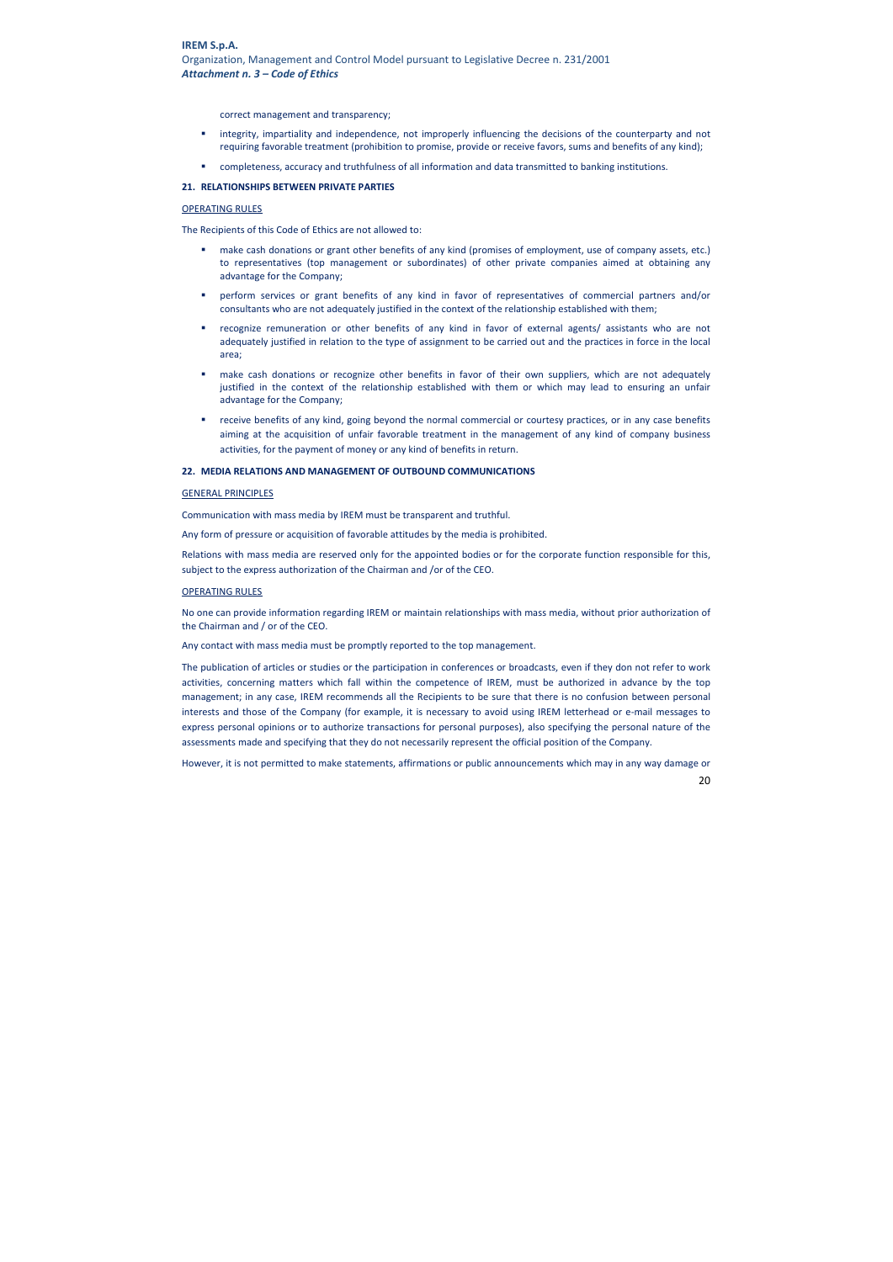correct management and transparency;

- integrity, impartiality and independence, not improperly influencing the decisions of the counterparty and not requiring favorable treatment (prohibition to promise, provide or receive favors, sums and benefits of any kind);
- completeness, accuracy and truthfulness of all information and data transmitted to banking institutions.

## **21. RELATIONSHIPS BETWEEN PRIVATE PARTIES**

#### OPERATING RULES

The Recipients of this Code of Ethics are not allowed to:

- make cash donations or grant other benefits of any kind (promises of employment, use of company assets, etc.) to representatives (top management or subordinates) of other private companies aimed at obtaining any advantage for the Company;
- perform services or grant benefits of any kind in favor of representatives of commercial partners and/or consultants who are not adequately justified in the context of the relationship established with them;
- recognize remuneration or other benefits of any kind in favor of external agents/ assistants who are not adequately justified in relation to the type of assignment to be carried out and the practices in force in the local area;
- make cash donations or recognize other benefits in favor of their own suppliers, which are not adequately justified in the context of the relationship established with them or which may lead to ensuring an unfair advantage for the Company;
- receive benefits of any kind, going beyond the normal commercial or courtesy practices, or in any case benefits aiming at the acquisition of unfair favorable treatment in the management of any kind of company business activities, for the payment of money or any kind of benefits in return.

# **22. MEDIA RELATIONS AND MANAGEMENT OF OUTBOUND COMMUNICATIONS**

## GENERAL PRINCIPLES

Communication with mass media by IREM must be transparent and truthful.

Any form of pressure or acquisition of favorable attitudes by the media is prohibited.

Relations with mass media are reserved only for the appointed bodies or for the corporate function responsible for this, subject to the express authorization of the Chairman and /or of the CEO.

## OPERATING RULES

No one can provide information regarding IREM or maintain relationships with mass media, without prior authorization of the Chairman and / or of the CEO.

Any contact with mass media must be promptly reported to the top management.

The publication of articles or studies or the participation in conferences or broadcasts, even if they don not refer to work activities, concerning matters which fall within the competence of IREM, must be authorized in advance by the top management; in any case, IREM recommends all the Recipients to be sure that there is no confusion between personal interests and those of the Company (for example, it is necessary to avoid using IREM letterhead or e-mail messages to express personal opinions or to authorize transactions for personal purposes), also specifying the personal nature of the assessments made and specifying that they do not necessarily represent the official position of the Company.

However, it is not permitted to make statements, affirmations or public announcements which may in any way damage or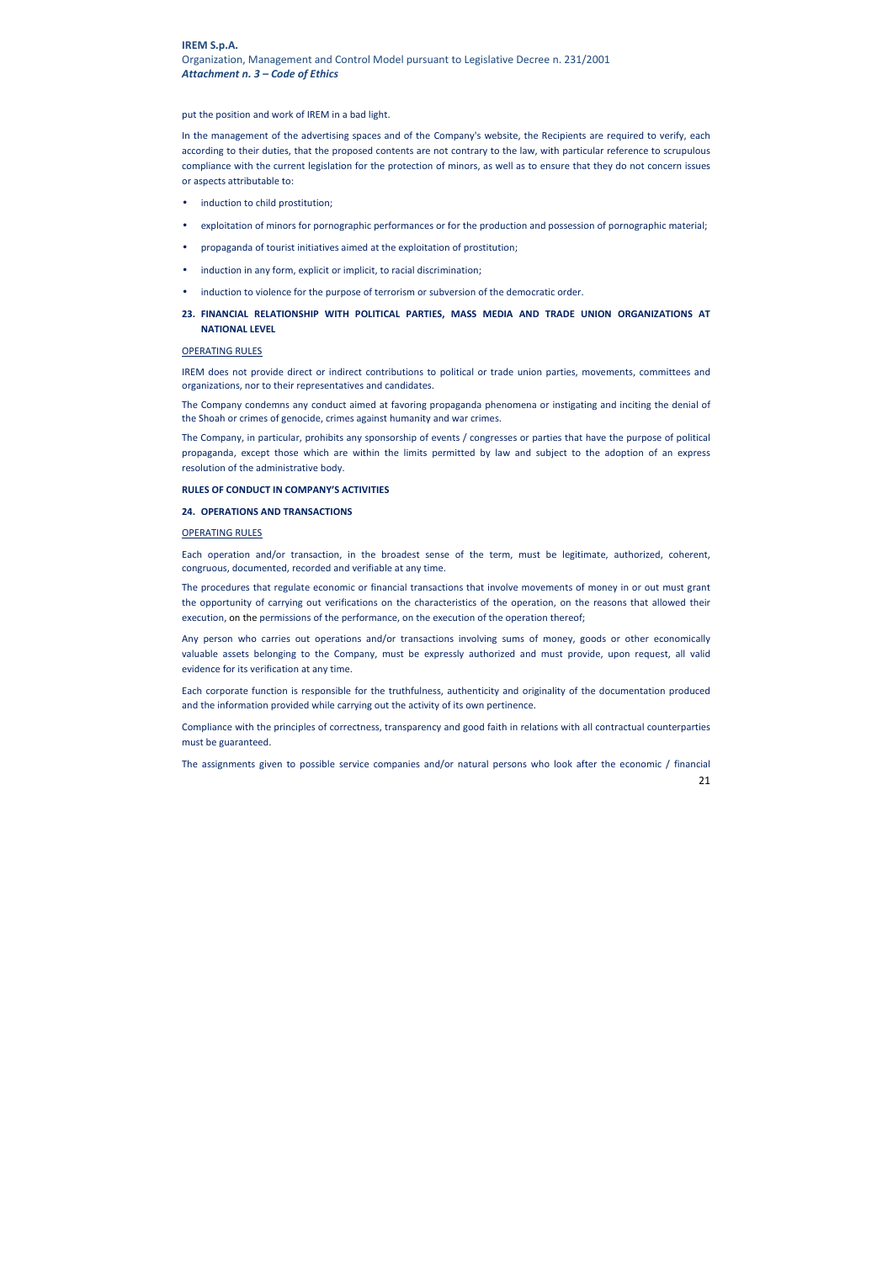put the position and work of IREM in a bad light.

In the management of the advertising spaces and of the Company's website, the Recipients are required to verify, each according to their duties, that the proposed contents are not contrary to the law, with particular reference to scrupulous compliance with the current legislation for the protection of minors, as well as to ensure that they do not concern issues or aspects attributable to:

- induction to child prostitution;
- exploitation of minors for pornographic performances or for the production and possession of pornographic material;
- propaganda of tourist initiatives aimed at the exploitation of prostitution;
- induction in any form, explicit or implicit, to racial discrimination;
- induction to violence for the purpose of terrorism or subversion of the democratic order.

# **23. FINANCIAL RELATIONSHIP WITH POLITICAL PARTIES, MASS MEDIA AND TRADE UNION ORGANIZATIONS AT NATIONAL LEVEL**

#### OPERATING RULES

IREM does not provide direct or indirect contributions to political or trade union parties, movements, committees and organizations, nor to their representatives and candidates.

The Company condemns any conduct aimed at favoring propaganda phenomena or instigating and inciting the denial of the Shoah or crimes of genocide, crimes against humanity and war crimes.

The Company, in particular, prohibits any sponsorship of events / congresses or parties that have the purpose of political propaganda, except those which are within the limits permitted by law and subject to the adoption of an express resolution of the administrative body.

#### **RULES OF CONDUCT IN COMPANY'S ACTIVITIES**

#### **24. OPERATIONS AND TRANSACTIONS**

## OPERATING RULES

Each operation and/or transaction, in the broadest sense of the term, must be legitimate, authorized, coherent, congruous, documented, recorded and verifiable at any time.

The procedures that regulate economic or financial transactions that involve movements of money in or out must grant the opportunity of carrying out verifications on the characteristics of the operation, on the reasons that allowed their execution, on the permissions of the performance, on the execution of the operation thereof;

Any person who carries out operations and/or transactions involving sums of money, goods or other economically valuable assets belonging to the Company, must be expressly authorized and must provide, upon request, all valid evidence for its verification at any time.

Each corporate function is responsible for the truthfulness, authenticity and originality of the documentation produced and the information provided while carrying out the activity of its own pertinence.

Compliance with the principles of correctness, transparency and good faith in relations with all contractual counterparties must be guaranteed.

The assignments given to possible service companies and/or natural persons who look after the economic / financial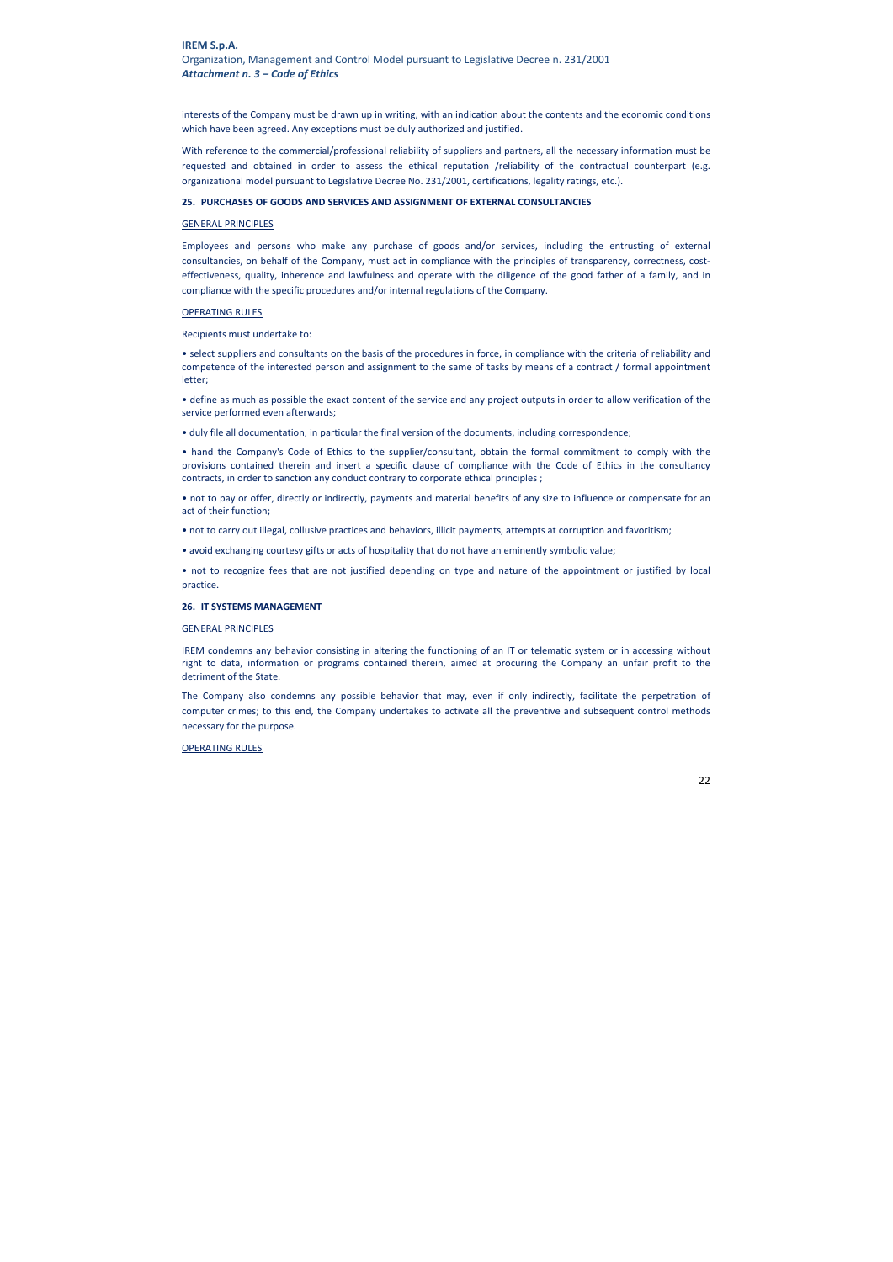interests of the Company must be drawn up in writing, with an indication about the contents and the economic conditions which have been agreed. Any exceptions must be duly authorized and justified.

With reference to the commercial/professional reliability of suppliers and partners, all the necessary information must be requested and obtained in order to assess the ethical reputation /reliability of the contractual counterpart (e.g. organizational model pursuant to Legislative Decree No. 231/2001, certifications, legality ratings, etc.).

## **25. PURCHASES OF GOODS AND SERVICES AND ASSIGNMENT OF EXTERNAL CONSULTANCIES**

## GENERAL PRINCIPLES

Employees and persons who make any purchase of goods and/or services, including the entrusting of external consultancies, on behalf of the Company, must act in compliance with the principles of transparency, correctness, costeffectiveness, quality, inherence and lawfulness and operate with the diligence of the good father of a family, and in compliance with the specific procedures and/or internal regulations of the Company.

## OPERATING RULES

Recipients must undertake to:

• select suppliers and consultants on the basis of the procedures in force, in compliance with the criteria of reliability and competence of the interested person and assignment to the same of tasks by means of a contract / formal appointment letter;

• define as much as possible the exact content of the service and any project outputs in order to allow verification of the service performed even afterwards;

• duly file all documentation, in particular the final version of the documents, including correspondence;

• hand the Company's Code of Ethics to the supplier/consultant, obtain the formal commitment to comply with the provisions contained therein and insert a specific clause of compliance with the Code of Ethics in the consultancy contracts, in order to sanction any conduct contrary to corporate ethical principles ;

• not to pay or offer, directly or indirectly, payments and material benefits of any size to influence or compensate for an act of their function;

• not to carry out illegal, collusive practices and behaviors, illicit payments, attempts at corruption and favoritism;

• avoid exchanging courtesy gifts or acts of hospitality that do not have an eminently symbolic value;

• not to recognize fees that are not justified depending on type and nature of the appointment or justified by local practice.

#### **26. IT SYSTEMS MANAGEMENT**

### GENERAL PRINCIPLES

IREM condemns any behavior consisting in altering the functioning of an IT or telematic system or in accessing without right to data, information or programs contained therein, aimed at procuring the Company an unfair profit to the detriment of the State.

The Company also condemns any possible behavior that may, even if only indirectly, facilitate the perpetration of computer crimes; to this end, the Company undertakes to activate all the preventive and subsequent control methods necessary for the purpose.

## OPERATING RULES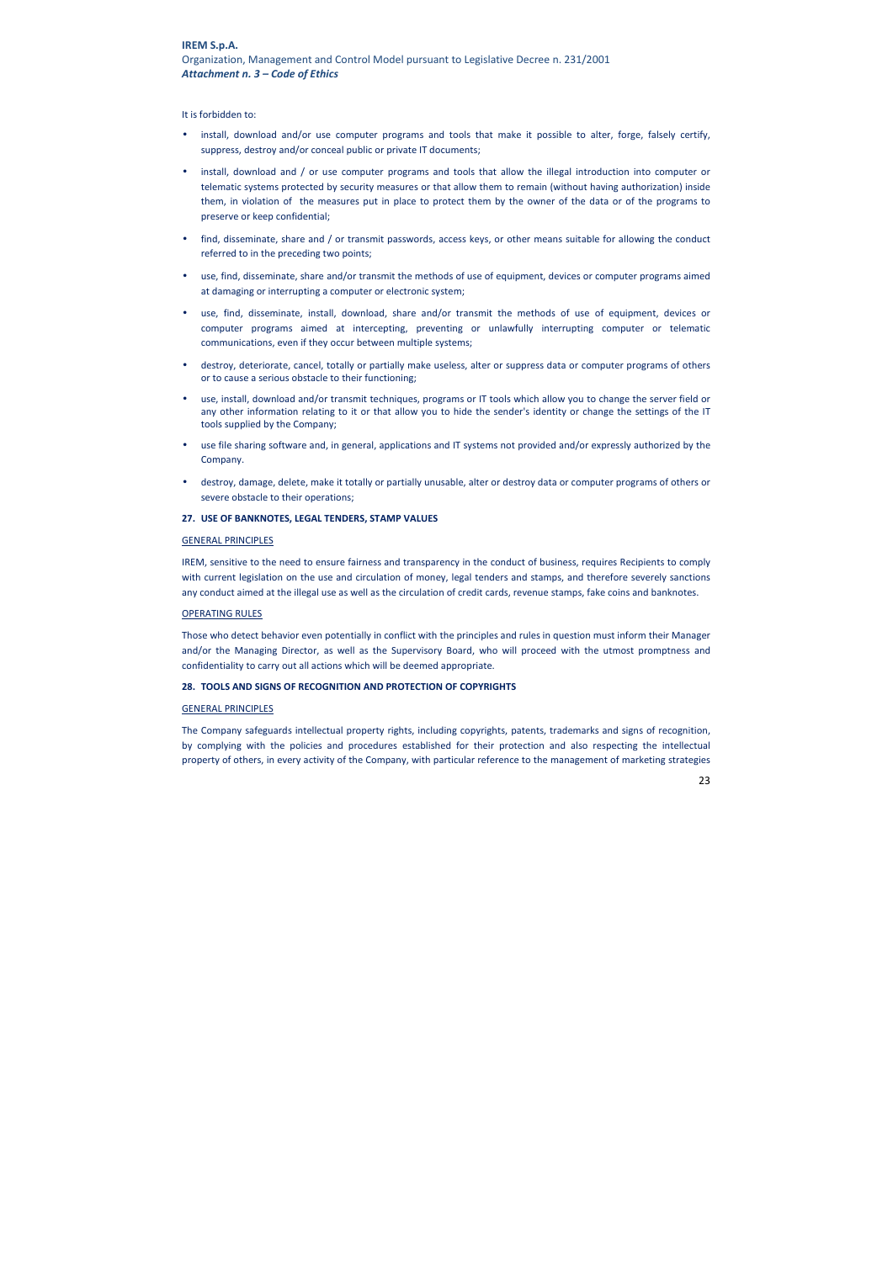It is forbidden to:

- install, download and/or use computer programs and tools that make it possible to alter, forge, falsely certify, suppress, destroy and/or conceal public or private IT documents;
- install, download and / or use computer programs and tools that allow the illegal introduction into computer or telematic systems protected by security measures or that allow them to remain (without having authorization) inside them, in violation of the measures put in place to protect them by the owner of the data or of the programs to preserve or keep confidential;
- find, disseminate, share and / or transmit passwords, access keys, or other means suitable for allowing the conduct referred to in the preceding two points;
- use, find, disseminate, share and/or transmit the methods of use of equipment, devices or computer programs aimed at damaging or interrupting a computer or electronic system;
- use, find, disseminate, install, download, share and/or transmit the methods of use of equipment, devices or computer programs aimed at intercepting, preventing or unlawfully interrupting computer or telematic communications, even if they occur between multiple systems;
- destroy, deteriorate, cancel, totally or partially make useless, alter or suppress data or computer programs of others or to cause a serious obstacle to their functioning;
- use, install, download and/or transmit techniques, programs or IT tools which allow you to change the server field or any other information relating to it or that allow you to hide the sender's identity or change the settings of the IT tools supplied by the Company;
- use file sharing software and, in general, applications and IT systems not provided and/or expressly authorized by the Company.
- destroy, damage, delete, make it totally or partially unusable, alter or destroy data or computer programs of others or severe obstacle to their operations;

## **27. USE OF BANKNOTES, LEGAL TENDERS, STAMP VALUES**

#### GENERAL PRINCIPLES

IREM, sensitive to the need to ensure fairness and transparency in the conduct of business, requires Recipients to comply with current legislation on the use and circulation of money, legal tenders and stamps, and therefore severely sanctions any conduct aimed at the illegal use as well as the circulation of credit cards, revenue stamps, fake coins and banknotes.

## OPERATING RULES

Those who detect behavior even potentially in conflict with the principles and rules in question must inform their Manager and/or the Managing Director, as well as the Supervisory Board, who will proceed with the utmost promptness and confidentiality to carry out all actions which will be deemed appropriate.

## **28. TOOLS AND SIGNS OF RECOGNITION AND PROTECTION OF COPYRIGHTS**

## GENERAL PRINCIPLES

The Company safeguards intellectual property rights, including copyrights, patents, trademarks and signs of recognition, by complying with the policies and procedures established for their protection and also respecting the intellectual property of others, in every activity of the Company, with particular reference to the management of marketing strategies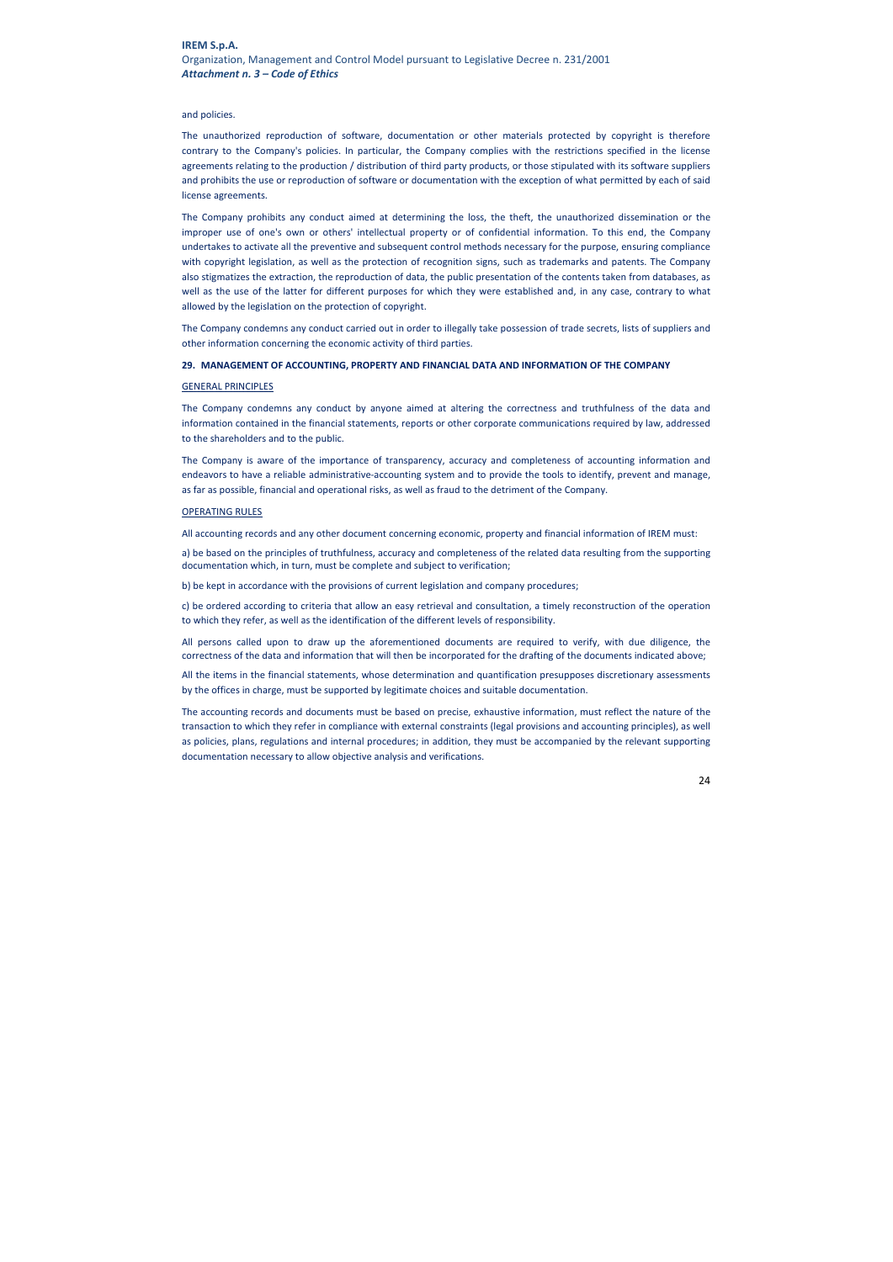#### and policies.

The unauthorized reproduction of software, documentation or other materials protected by copyright is therefore contrary to the Company's policies. In particular, the Company complies with the restrictions specified in the license agreements relating to the production / distribution of third party products, or those stipulated with its software suppliers and prohibits the use or reproduction of software or documentation with the exception of what permitted by each of said license agreements.

The Company prohibits any conduct aimed at determining the loss, the theft, the unauthorized dissemination or the improper use of one's own or others' intellectual property or of confidential information. To this end, the Company undertakes to activate all the preventive and subsequent control methods necessary for the purpose, ensuring compliance with copyright legislation, as well as the protection of recognition signs, such as trademarks and patents. The Company also stigmatizes the extraction, the reproduction of data, the public presentation of the contents taken from databases, as well as the use of the latter for different purposes for which they were established and, in any case, contrary to what allowed by the legislation on the protection of copyright.

The Company condemns any conduct carried out in order to illegally take possession of trade secrets, lists of suppliers and other information concerning the economic activity of third parties.

#### **29. MANAGEMENT OF ACCOUNTING, PROPERTY AND FINANCIAL DATA AND INFORMATION OF THE COMPANY**

#### GENERAL PRINCIPLES

The Company condemns any conduct by anyone aimed at altering the correctness and truthfulness of the data and information contained in the financial statements, reports or other corporate communications required by law, addressed to the shareholders and to the public.

The Company is aware of the importance of transparency, accuracy and completeness of accounting information and endeavors to have a reliable administrative-accounting system and to provide the tools to identify, prevent and manage, as far as possible, financial and operational risks, as well as fraud to the detriment of the Company.

## OPERATING RULES

All accounting records and any other document concerning economic, property and financial information of IREM must:

a) be based on the principles of truthfulness, accuracy and completeness of the related data resulting from the supporting documentation which, in turn, must be complete and subject to verification;

b) be kept in accordance with the provisions of current legislation and company procedures;

c) be ordered according to criteria that allow an easy retrieval and consultation, a timely reconstruction of the operation to which they refer, as well as the identification of the different levels of responsibility.

All persons called upon to draw up the aforementioned documents are required to verify, with due diligence, the correctness of the data and information that will then be incorporated for the drafting of the documents indicated above;

All the items in the financial statements, whose determination and quantification presupposes discretionary assessments by the offices in charge, must be supported by legitimate choices and suitable documentation.

The accounting records and documents must be based on precise, exhaustive information, must reflect the nature of the transaction to which they refer in compliance with external constraints (legal provisions and accounting principles), as well as policies, plans, regulations and internal procedures; in addition, they must be accompanied by the relevant supporting documentation necessary to allow objective analysis and verifications.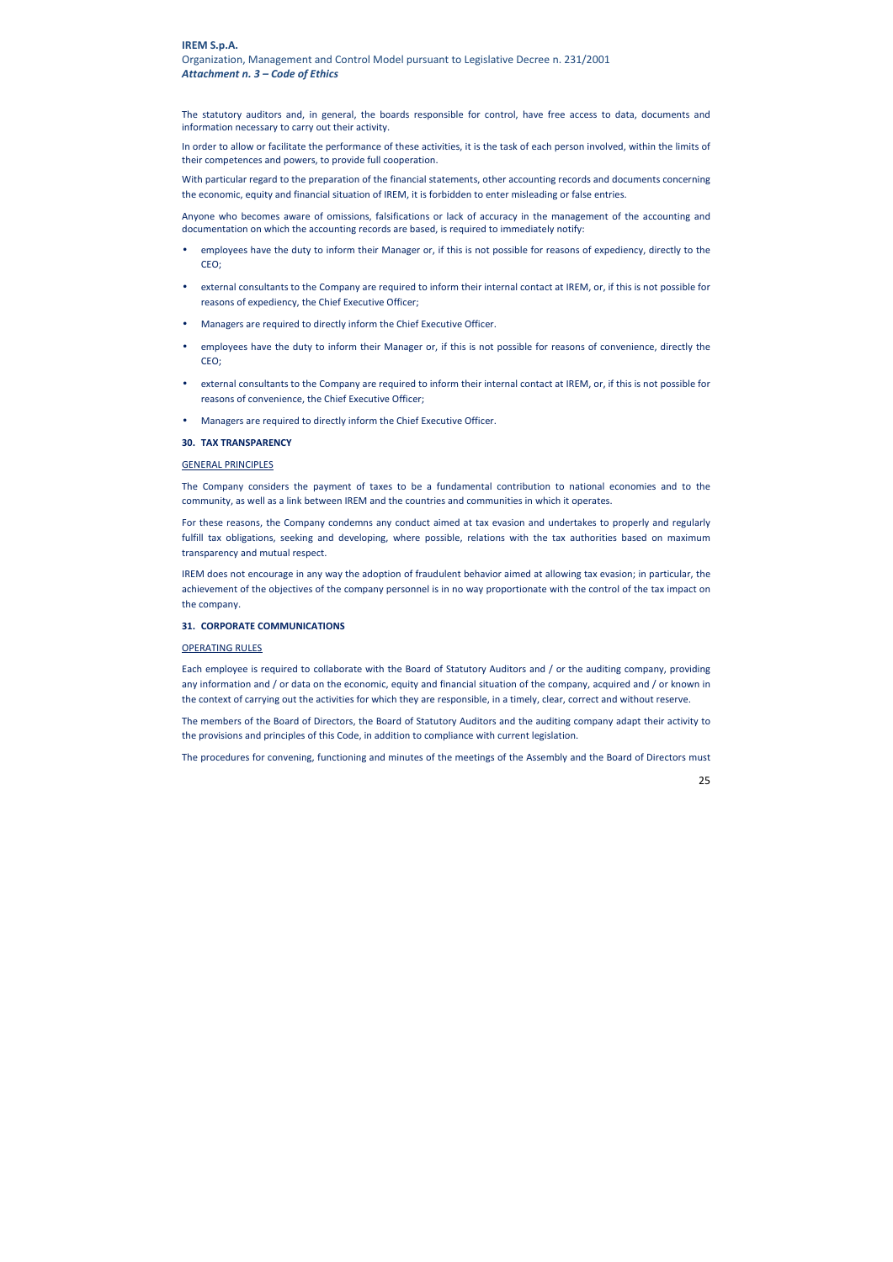# **IREM S.p.A.** Organization, Management and Control Model pursuant to Legislative Decree n. 231/2001 *Attachment n. 3 – Code of Ethics*

The statutory auditors and, in general, the boards responsible for control, have free access to data, documents and information necessary to carry out their activity.

In order to allow or facilitate the performance of these activities, it is the task of each person involved, within the limits of their competences and powers, to provide full cooperation.

With particular regard to the preparation of the financial statements, other accounting records and documents concerning the economic, equity and financial situation of IREM, it is forbidden to enter misleading or false entries.

Anyone who becomes aware of omissions, falsifications or lack of accuracy in the management of the accounting and documentation on which the accounting records are based, is required to immediately notify:

- employees have the duty to inform their Manager or, if this is not possible for reasons of expediency, directly to the CEO;
- external consultants to the Company are required to inform their internal contact at IREM, or, if this is not possible for reasons of expediency, the Chief Executive Officer;
- Managers are required to directly inform the Chief Executive Officer.
- employees have the duty to inform their Manager or, if this is not possible for reasons of convenience, directly the CEO;
- external consultants to the Company are required to inform their internal contact at IREM, or, if this is not possible for reasons of convenience, the Chief Executive Officer;
- Managers are required to directly inform the Chief Executive Officer.

#### **30. TAX TRANSPARENCY**

## GENERAL PRINCIPLES

The Company considers the payment of taxes to be a fundamental contribution to national economies and to the community, as well as a link between IREM and the countries and communities in which it operates.

For these reasons, the Company condemns any conduct aimed at tax evasion and undertakes to properly and regularly fulfill tax obligations, seeking and developing, where possible, relations with the tax authorities based on maximum transparency and mutual respect.

IREM does not encourage in any way the adoption of fraudulent behavior aimed at allowing tax evasion; in particular, the achievement of the objectives of the company personnel is in no way proportionate with the control of the tax impact on the company.

## **31. CORPORATE COMMUNICATIONS**

### OPERATING RULES

Each employee is required to collaborate with the Board of Statutory Auditors and / or the auditing company, providing any information and / or data on the economic, equity and financial situation of the company, acquired and / or known in the context of carrying out the activities for which they are responsible, in a timely, clear, correct and without reserve.

The members of the Board of Directors, the Board of Statutory Auditors and the auditing company adapt their activity to the provisions and principles of this Code, in addition to compliance with current legislation.

The procedures for convening, functioning and minutes of the meetings of the Assembly and the Board of Directors must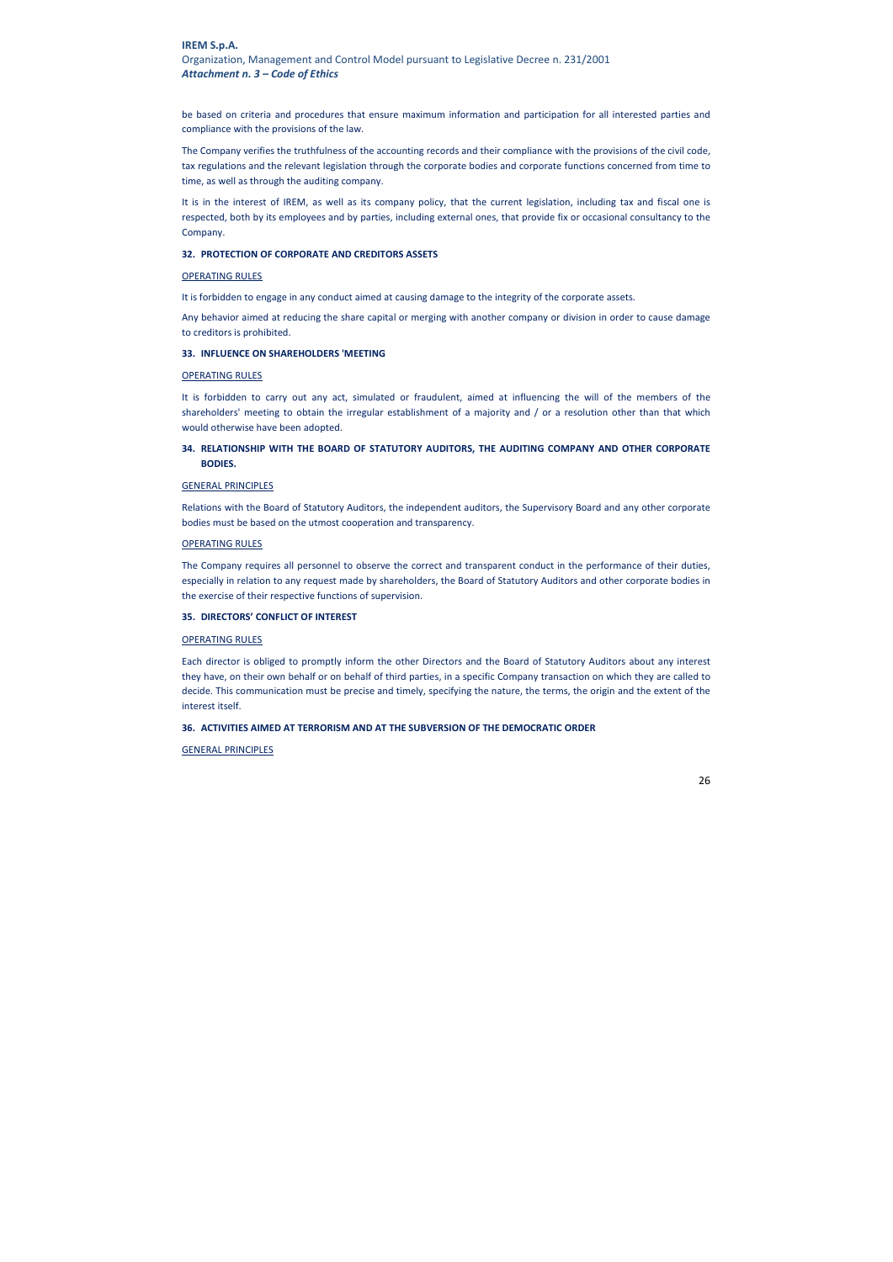be based on criteria and procedures that ensure maximum information and participation for all interested parties and compliance with the provisions of the law.

The Company verifies the truthfulness of the accounting records and their compliance with the provisions of the civil code, tax regulations and the relevant legislation through the corporate bodies and corporate functions concerned from time to time, as well as through the auditing company.

It is in the interest of IREM, as well as its company policy, that the current legislation, including tax and fiscal one is respected, both by its employees and by parties, including external ones, that provide fix or occasional consultancy to the Company.

#### **32. PROTECTION OF CORPORATE AND CREDITORS ASSETS**

## OPERATING RULES

It is forbidden to engage in any conduct aimed at causing damage to the integrity of the corporate assets.

Any behavior aimed at reducing the share capital or merging with another company or division in order to cause damage to creditors is prohibited.

## **33. INFLUENCE ON SHAREHOLDERS 'MEETING**

## OPERATING RULES

It is forbidden to carry out any act, simulated or fraudulent, aimed at influencing the will of the members of the shareholders' meeting to obtain the irregular establishment of a majority and / or a resolution other than that which would otherwise have been adopted.

# **34. RELATIONSHIP WITH THE BOARD OF STATUTORY AUDITORS, THE AUDITING COMPANY AND OTHER CORPORATE BODIES.**

## GENERAL PRINCIPLES

Relations with the Board of Statutory Auditors, the independent auditors, the Supervisory Board and any other corporate bodies must be based on the utmost cooperation and transparency.

# OPERATING RULES

The Company requires all personnel to observe the correct and transparent conduct in the performance of their duties, especially in relation to any request made by shareholders, the Board of Statutory Auditors and other corporate bodies in the exercise of their respective functions of supervision.

## **35. DIRECTORS' CONFLICT OF INTEREST**

## OPERATING RULES

Each director is obliged to promptly inform the other Directors and the Board of Statutory Auditors about any interest they have, on their own behalf or on behalf of third parties, in a specific Company transaction on which they are called to decide. This communication must be precise and timely, specifying the nature, the terms, the origin and the extent of the interest itself.

## **36. ACTIVITIES AIMED AT TERRORISM AND AT THE SUBVERSION OF THE DEMOCRATIC ORDER**

#### GENERAL PRINCIPLES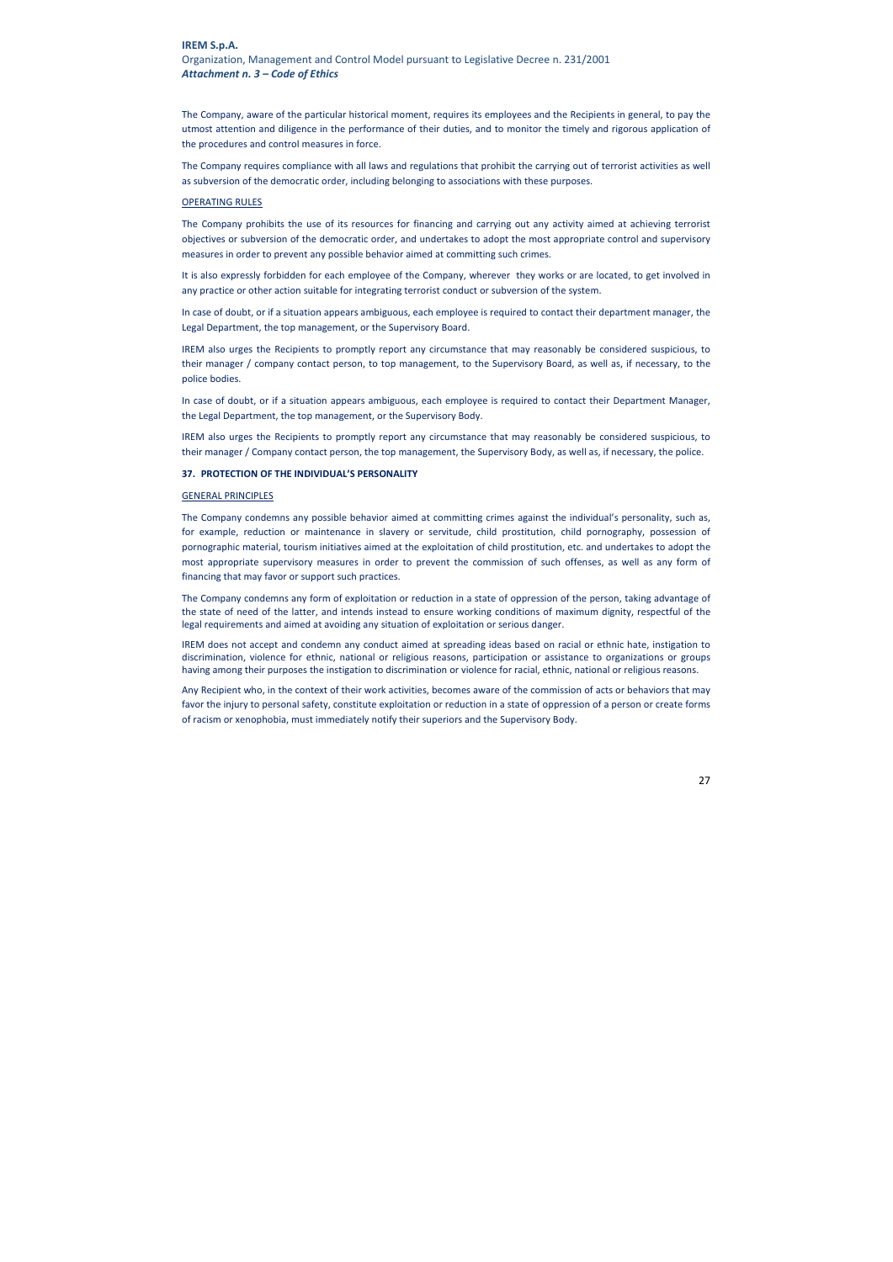# **IREM S.p.A.** Organization, Management and Control Model pursuant to Legislative Decree n. 231/2001 *Attachment n. 3 – Code of Ethics*

The Company, aware of the particular historical moment, requires its employees and the Recipients in general, to pay the utmost attention and diligence in the performance of their duties, and to monitor the timely and rigorous application of the procedures and control measures in force.

The Company requires compliance with all laws and regulations that prohibit the carrying out of terrorist activities as well as subversion of the democratic order, including belonging to associations with these purposes.

#### OPERATING RULES

The Company prohibits the use of its resources for financing and carrying out any activity aimed at achieving terrorist objectives or subversion of the democratic order, and undertakes to adopt the most appropriate control and supervisory measures in order to prevent any possible behavior aimed at committing such crimes.

It is also expressly forbidden for each employee of the Company, wherever they works or are located, to get involved in any practice or other action suitable for integrating terrorist conduct or subversion of the system.

In case of doubt, or if a situation appears ambiguous, each employee is required to contact their department manager, the Legal Department, the top management, or the Supervisory Board.

IREM also urges the Recipients to promptly report any circumstance that may reasonably be considered suspicious, to their manager / company contact person, to top management, to the Supervisory Board, as well as, if necessary, to the police bodies.

In case of doubt, or if a situation appears ambiguous, each employee is required to contact their Department Manager, the Legal Department, the top management, or the Supervisory Body.

IREM also urges the Recipients to promptly report any circumstance that may reasonably be considered suspicious, to their manager / Company contact person, the top management, the Supervisory Body, as well as, if necessary, the police.

#### **37. PROTECTION OF THE INDIVIDUAL'S PERSONALITY**

## GENERAL PRINCIPLES

The Company condemns any possible behavior aimed at committing crimes against the individual's personality, such as, for example, reduction or maintenance in slavery or servitude, child prostitution, child pornography, possession of pornographic material, tourism initiatives aimed at the exploitation of child prostitution, etc. and undertakes to adopt the most appropriate supervisory measures in order to prevent the commission of such offenses, as well as any form of financing that may favor or support such practices.

The Company condemns any form of exploitation or reduction in a state of oppression of the person, taking advantage of the state of need of the latter, and intends instead to ensure working conditions of maximum dignity, respectful of the legal requirements and aimed at avoiding any situation of exploitation or serious danger.

IREM does not accept and condemn any conduct aimed at spreading ideas based on racial or ethnic hate, instigation to discrimination, violence for ethnic, national or religious reasons, participation or assistance to organizations or groups having among their purposes the instigation to discrimination or violence for racial, ethnic, national or religious reasons.

Any Recipient who, in the context of their work activities, becomes aware of the commission of acts or behaviors that may favor the injury to personal safety, constitute exploitation or reduction in a state of oppression of a person or create forms of racism or xenophobia, must immediately notify their superiors and the Supervisory Body.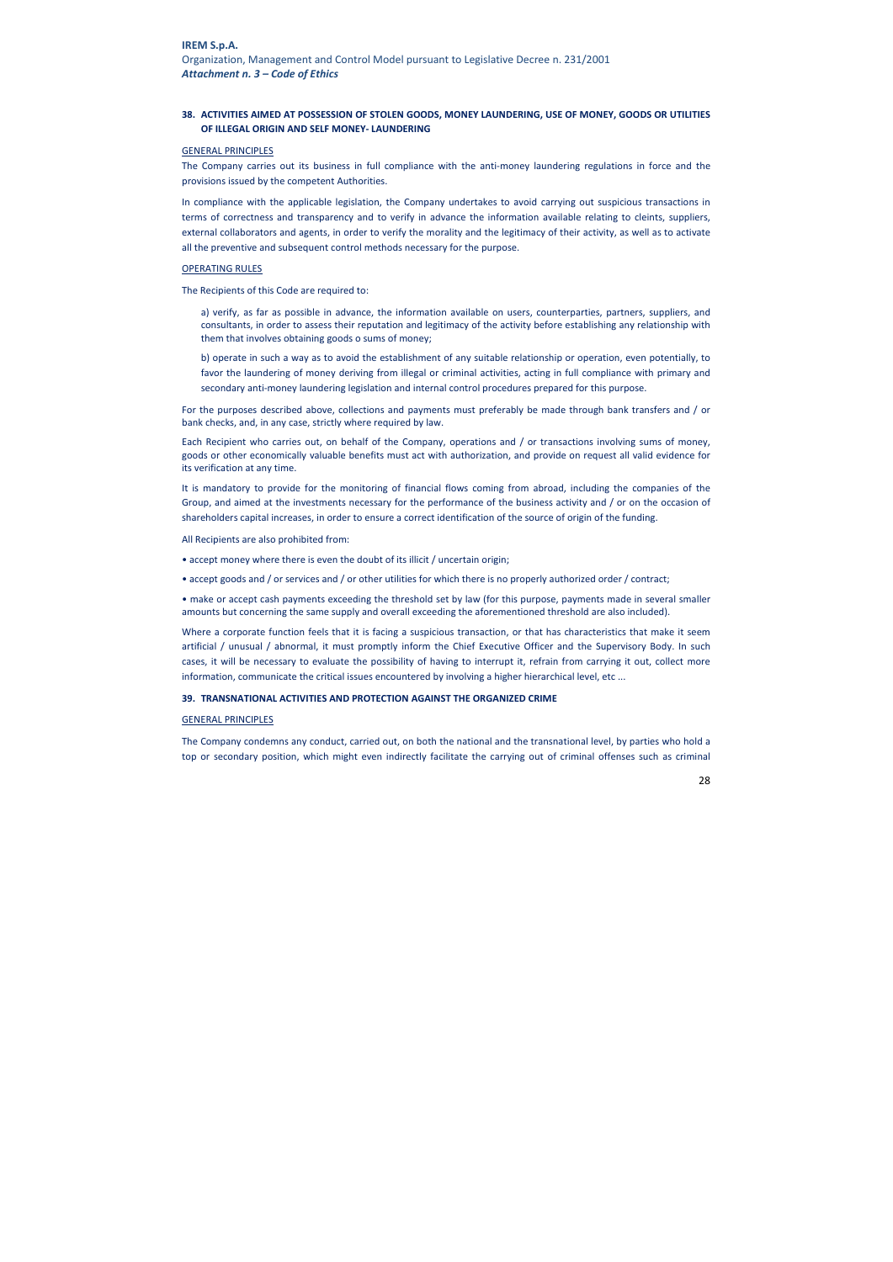# **38. ACTIVITIES AIMED AT POSSESSION OF STOLEN GOODS, MONEY LAUNDERING, USE OF MONEY, GOODS OR UTILITIES OF ILLEGAL ORIGIN AND SELF MONEY- LAUNDERING**

## GENERAL PRINCIPLES

The Company carries out its business in full compliance with the anti-money laundering regulations in force and the provisions issued by the competent Authorities.

In compliance with the applicable legislation, the Company undertakes to avoid carrying out suspicious transactions in terms of correctness and transparency and to verify in advance the information available relating to cleints, suppliers, external collaborators and agents, in order to verify the morality and the legitimacy of their activity, as well as to activate all the preventive and subsequent control methods necessary for the purpose.

#### OPERATING RULES

The Recipients of this Code are required to:

a) verify, as far as possible in advance, the information available on users, counterparties, partners, suppliers, and consultants, in order to assess their reputation and legitimacy of the activity before establishing any relationship with them that involves obtaining goods o sums of money;

b) operate in such a way as to avoid the establishment of any suitable relationship or operation, even potentially, to favor the laundering of money deriving from illegal or criminal activities, acting in full compliance with primary and secondary anti-money laundering legislation and internal control procedures prepared for this purpose.

For the purposes described above, collections and payments must preferably be made through bank transfers and / or bank checks, and, in any case, strictly where required by law.

Each Recipient who carries out, on behalf of the Company, operations and / or transactions involving sums of money, goods or other economically valuable benefits must act with authorization, and provide on request all valid evidence for its verification at any time.

It is mandatory to provide for the monitoring of financial flows coming from abroad, including the companies of the Group, and aimed at the investments necessary for the performance of the business activity and / or on the occasion of shareholders capital increases, in order to ensure a correct identification of the source of origin of the funding.

All Recipients are also prohibited from:

- accept money where there is even the doubt of its illicit / uncertain origin;
- accept goods and / or services and / or other utilities for which there is no properly authorized order / contract;

• make or accept cash payments exceeding the threshold set by law (for this purpose, payments made in several smaller amounts but concerning the same supply and overall exceeding the aforementioned threshold are also included).

Where a corporate function feels that it is facing a suspicious transaction, or that has characteristics that make it seem artificial / unusual / abnormal, it must promptly inform the Chief Executive Officer and the Supervisory Body. In such cases, it will be necessary to evaluate the possibility of having to interrupt it, refrain from carrying it out, collect more information, communicate the critical issues encountered by involving a higher hierarchical level, etc ...

## **39. TRANSNATIONAL ACTIVITIES AND PROTECTION AGAINST THE ORGANIZED CRIME**

#### GENERAL PRINCIPLES

The Company condemns any conduct, carried out, on both the national and the transnational level, by parties who hold a top or secondary position, which might even indirectly facilitate the carrying out of criminal offenses such as criminal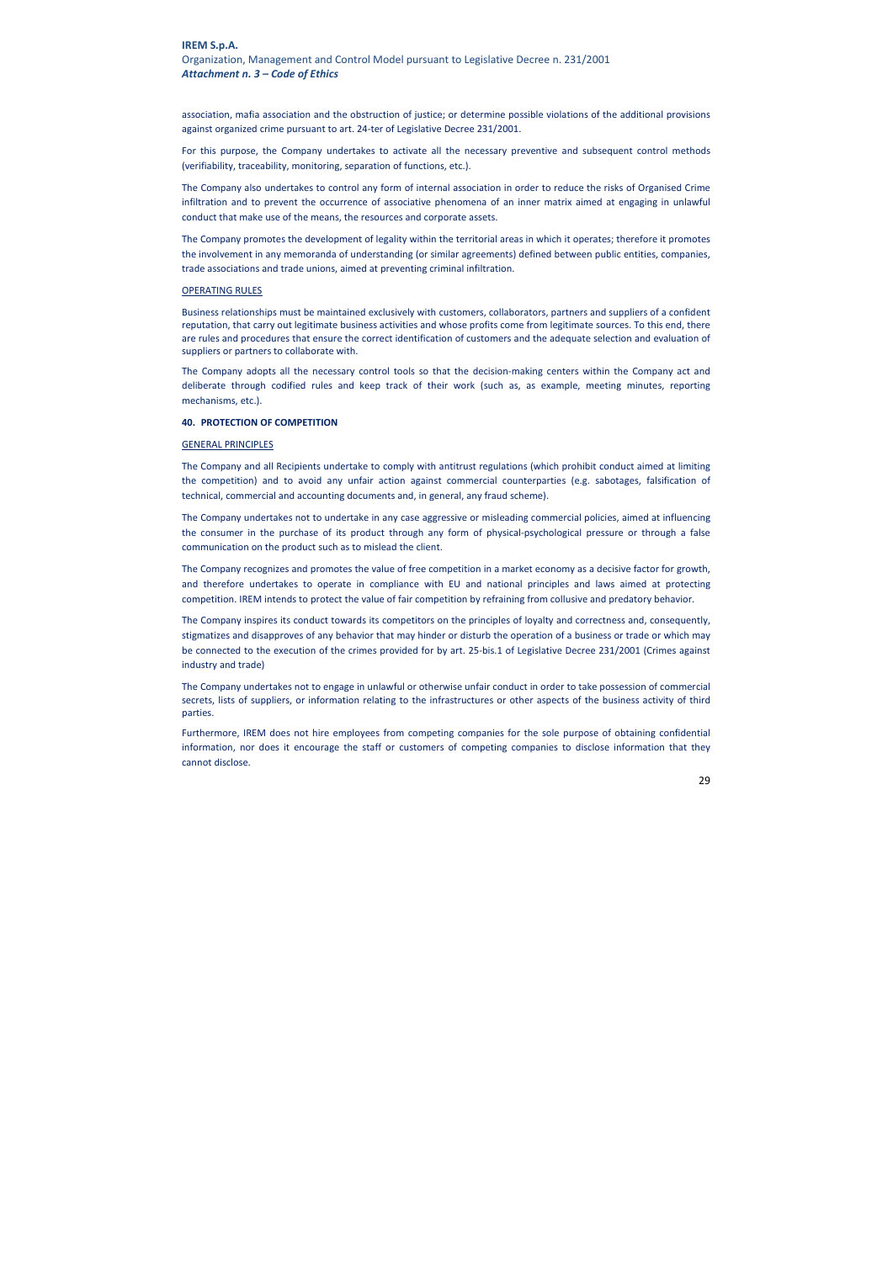association, mafia association and the obstruction of justice; or determine possible violations of the additional provisions against organized crime pursuant to art. 24-ter of Legislative Decree 231/2001.

For this purpose, the Company undertakes to activate all the necessary preventive and subsequent control methods (verifiability, traceability, monitoring, separation of functions, etc.).

The Company also undertakes to control any form of internal association in order to reduce the risks of Organised Crime infiltration and to prevent the occurrence of associative phenomena of an inner matrix aimed at engaging in unlawful conduct that make use of the means, the resources and corporate assets.

The Company promotes the development of legality within the territorial areas in which it operates; therefore it promotes the involvement in any memoranda of understanding (or similar agreements) defined between public entities, companies, trade associations and trade unions, aimed at preventing criminal infiltration.

## OPERATING RULES

Business relationships must be maintained exclusively with customers, collaborators, partners and suppliers of a confident reputation, that carry out legitimate business activities and whose profits come from legitimate sources. To this end, there are rules and procedures that ensure the correct identification of customers and the adequate selection and evaluation of suppliers or partners to collaborate with.

The Company adopts all the necessary control tools so that the decision-making centers within the Company act and deliberate through codified rules and keep track of their work (such as, as example, meeting minutes, reporting mechanisms, etc.).

## **40. PROTECTION OF COMPETITION**

## GENERAL PRINCIPLES

The Company and all Recipients undertake to comply with antitrust regulations (which prohibit conduct aimed at limiting the competition) and to avoid any unfair action against commercial counterparties (e.g. sabotages, falsification of technical, commercial and accounting documents and, in general, any fraud scheme).

The Company undertakes not to undertake in any case aggressive or misleading commercial policies, aimed at influencing the consumer in the purchase of its product through any form of physical-psychological pressure or through a false communication on the product such as to mislead the client.

The Company recognizes and promotes the value of free competition in a market economy as a decisive factor for growth, and therefore undertakes to operate in compliance with EU and national principles and laws aimed at protecting competition. IREM intends to protect the value of fair competition by refraining from collusive and predatory behavior.

The Company inspires its conduct towards its competitors on the principles of loyalty and correctness and, consequently, stigmatizes and disapproves of any behavior that may hinder or disturb the operation of a business or trade or which may be connected to the execution of the crimes provided for by art. 25-bis.1 of Legislative Decree 231/2001 (Crimes against industry and trade)

The Company undertakes not to engage in unlawful or otherwise unfair conduct in order to take possession of commercial secrets, lists of suppliers, or information relating to the infrastructures or other aspects of the business activity of third parties.

Furthermore, IREM does not hire employees from competing companies for the sole purpose of obtaining confidential information, nor does it encourage the staff or customers of competing companies to disclose information that they cannot disclose.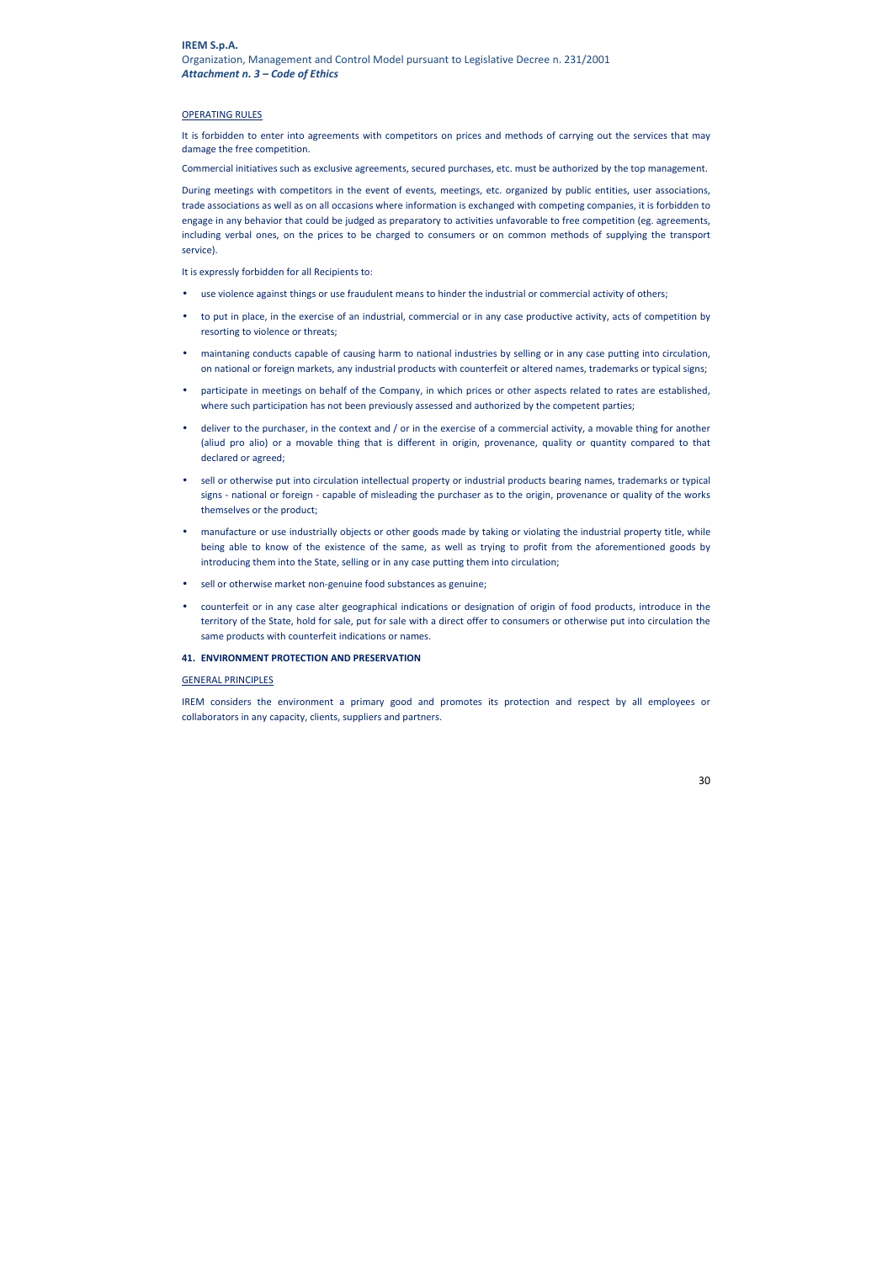# **IREM S.p.A.** Organization, Management and Control Model pursuant to Legislative Decree n. 231/2001 *Attachment n. 3 – Code of Ethics*

## OPERATING RULES

It is forbidden to enter into agreements with competitors on prices and methods of carrying out the services that may damage the free competition.

Commercial initiatives such as exclusive agreements, secured purchases, etc. must be authorized by the top management.

During meetings with competitors in the event of events, meetings, etc. organized by public entities, user associations, trade associations as well as on all occasions where information is exchanged with competing companies, it is forbidden to engage in any behavior that could be judged as preparatory to activities unfavorable to free competition (eg. agreements, including verbal ones, on the prices to be charged to consumers or on common methods of supplying the transport service).

It is expressly forbidden for all Recipients to:

- use violence against things or use fraudulent means to hinder the industrial or commercial activity of others;
- to put in place, in the exercise of an industrial, commercial or in any case productive activity, acts of competition by resorting to violence or threats;
- maintaning conducts capable of causing harm to national industries by selling or in any case putting into circulation, on national or foreign markets, any industrial products with counterfeit or altered names, trademarks or typical signs;
- participate in meetings on behalf of the Company, in which prices or other aspects related to rates are established, where such participation has not been previously assessed and authorized by the competent parties;
- deliver to the purchaser, in the context and / or in the exercise of a commercial activity, a movable thing for another (aliud pro alio) or a movable thing that is different in origin, provenance, quality or quantity compared to that declared or agreed;
- sell or otherwise put into circulation intellectual property or industrial products bearing names, trademarks or typical signs - national or foreign - capable of misleading the purchaser as to the origin, provenance or quality of the works themselves or the product;
- manufacture or use industrially objects or other goods made by taking or violating the industrial property title, while being able to know of the existence of the same, as well as trying to profit from the aforementioned goods by introducing them into the State, selling or in any case putting them into circulation;
- sell or otherwise market non-genuine food substances as genuine;
- counterfeit or in any case alter geographical indications or designation of origin of food products, introduce in the territory of the State, hold for sale, put for sale with a direct offer to consumers or otherwise put into circulation the same products with counterfeit indications or names.

## **41. ENVIRONMENT PROTECTION AND PRESERVATION**

## GENERAL PRINCIPLES

IREM considers the environment a primary good and promotes its protection and respect by all employees or collaborators in any capacity, clients, suppliers and partners.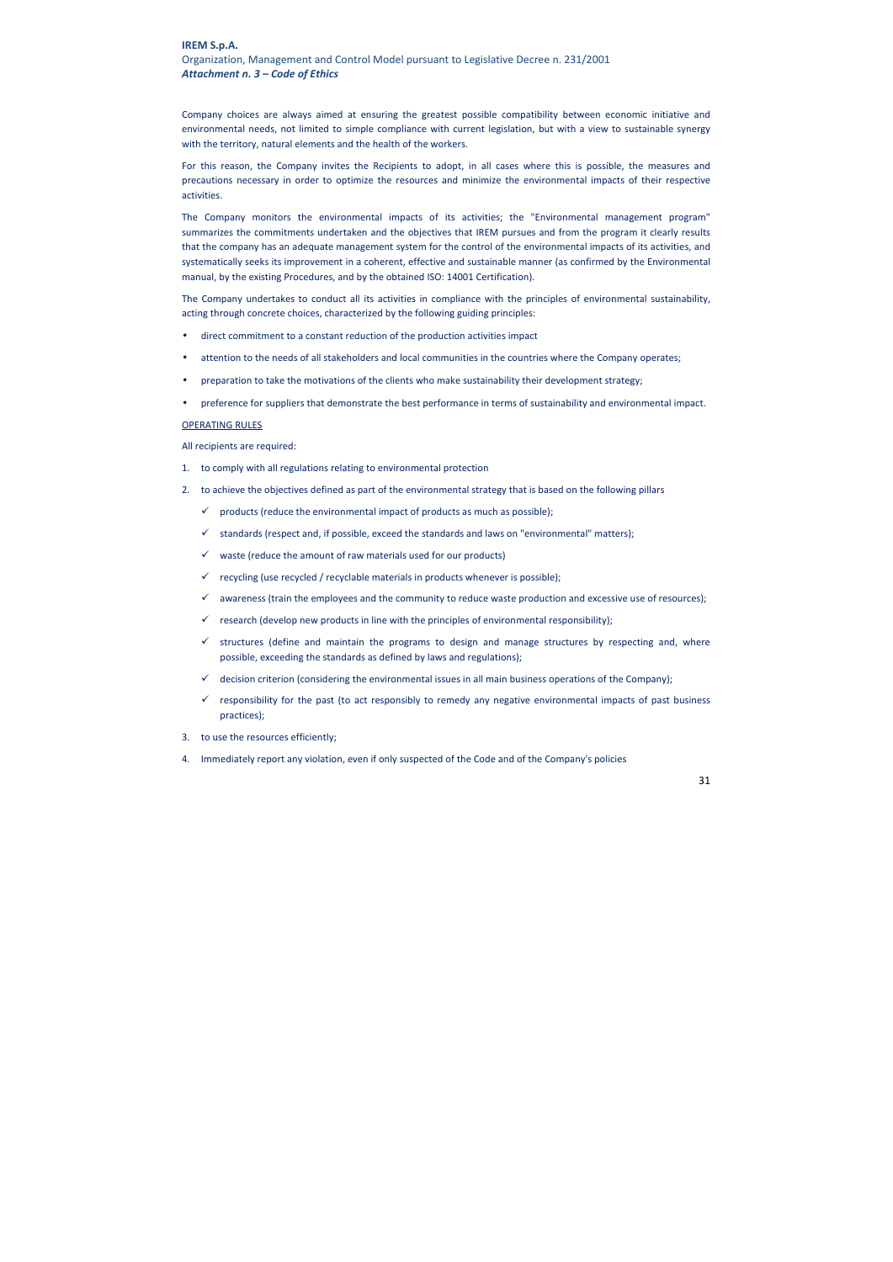Company choices are always aimed at ensuring the greatest possible compatibility between economic initiative and environmental needs, not limited to simple compliance with current legislation, but with a view to sustainable synergy with the territory, natural elements and the health of the workers.

For this reason, the Company invites the Recipients to adopt, in all cases where this is possible, the measures and precautions necessary in order to optimize the resources and minimize the environmental impacts of their respective activities.

The Company monitors the environmental impacts of its activities; the "Environmental management program" summarizes the commitments undertaken and the objectives that IREM pursues and from the program it clearly results that the company has an adequate management system for the control of the environmental impacts of its activities, and systematically seeks its improvement in a coherent, effective and sustainable manner (as confirmed by the Environmental manual, by the existing Procedures, and by the obtained ISO: 14001 Certification).

The Company undertakes to conduct all its activities in compliance with the principles of environmental sustainability, acting through concrete choices, characterized by the following guiding principles:

- direct commitment to a constant reduction of the production activities impact
- attention to the needs of all stakeholders and local communities in the countries where the Company operates;
- preparation to take the motivations of the clients who make sustainability their development strategy;
- preference for suppliers that demonstrate the best performance in terms of sustainability and environmental impact.

#### OPERATING RULES

All recipients are required:

- 1. to comply with all regulations relating to environmental protection
- 2. to achieve the objectives defined as part of the environmental strategy that is based on the following pillars
	- $\checkmark$  products (reduce the environmental impact of products as much as possible);
	- $\checkmark$  standards (respect and, if possible, exceed the standards and laws on "environmental" matters);
	- $\checkmark$  waste (reduce the amount of raw materials used for our products)
	- $\checkmark$  recycling (use recycled / recyclable materials in products whenever is possible);
	- $\checkmark$  awareness (train the employees and the community to reduce waste production and excessive use of resources);
	- $\checkmark$  research (develop new products in line with the principles of environmental responsibility);
	- $\checkmark$  structures (define and maintain the programs to design and manage structures by respecting and, where possible, exceeding the standards as defined by laws and regulations);
	- $\checkmark$  decision criterion (considering the environmental issues in all main business operations of the Company);
	- $\checkmark$  responsibility for the past (to act responsibly to remedy any negative environmental impacts of past business practices);
- 3. to use the resources efficiently;
- 4. Immediately report any violation, even if only suspected of the Code and of the Company's policies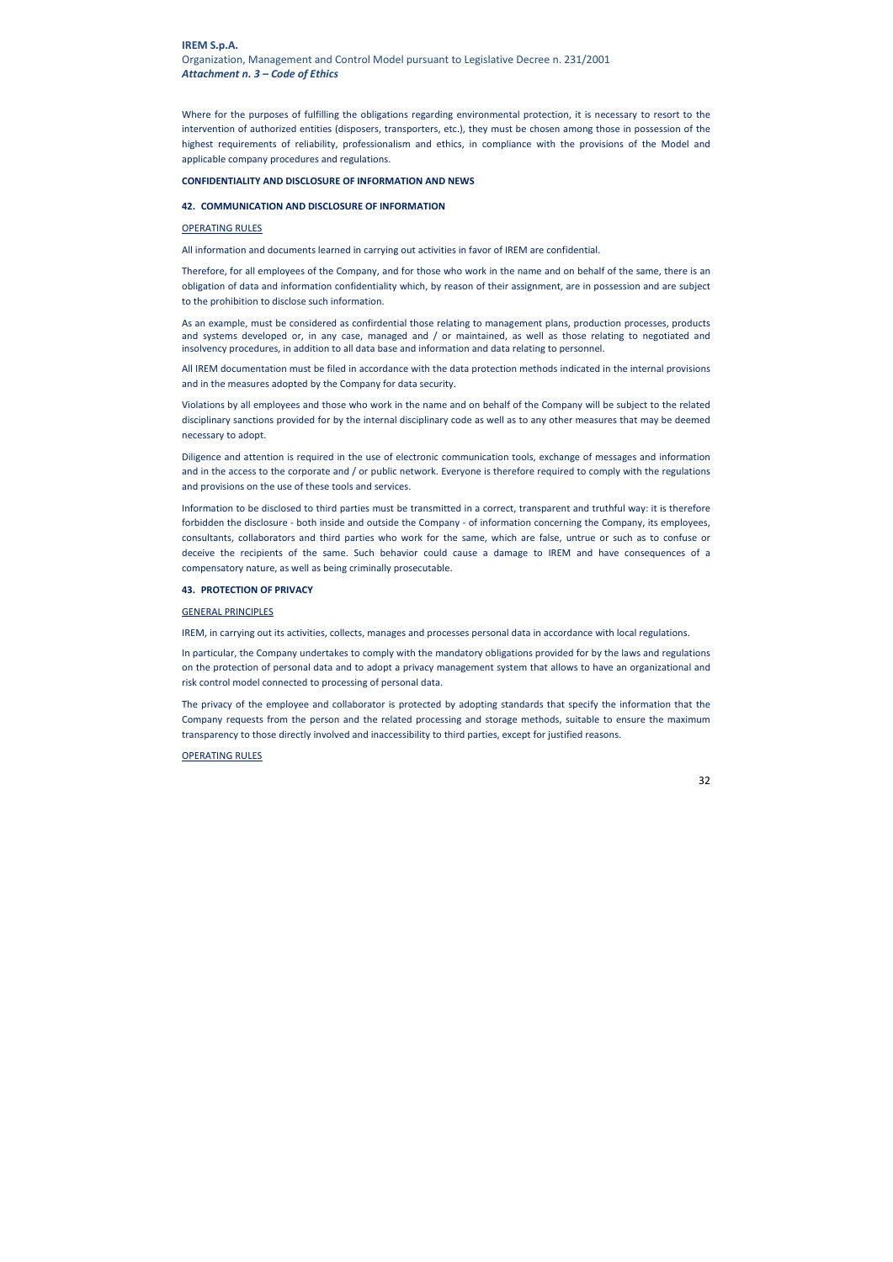Where for the purposes of fulfilling the obligations regarding environmental protection, it is necessary to resort to the intervention of authorized entities (disposers, transporters, etc.), they must be chosen among those in possession of the highest requirements of reliability, professionalism and ethics, in compliance with the provisions of the Model and applicable company procedures and regulations.

#### **CONFIDENTIALITY AND DISCLOSURE OF INFORMATION AND NEWS**

## **42. COMMUNICATION AND DISCLOSURE OF INFORMATION**

## OPERATING RULES

All information and documents learned in carrying out activities in favor of IREM are confidential.

Therefore, for all employees of the Company, and for those who work in the name and on behalf of the same, there is an obligation of data and information confidentiality which, by reason of their assignment, are in possession and are subject to the prohibition to disclose such information.

As an example, must be considered as confirdential those relating to management plans, production processes, products and systems developed or, in any case, managed and / or maintained, as well as those relating to negotiated and insolvency procedures, in addition to all data base and information and data relating to personnel.

All IREM documentation must be filed in accordance with the data protection methods indicated in the internal provisions and in the measures adopted by the Company for data security.

Violations by all employees and those who work in the name and on behalf of the Company will be subject to the related disciplinary sanctions provided for by the internal disciplinary code as well as to any other measures that may be deemed necessary to adopt.

Diligence and attention is required in the use of electronic communication tools, exchange of messages and information and in the access to the corporate and / or public network. Everyone is therefore required to comply with the regulations and provisions on the use of these tools and services.

Information to be disclosed to third parties must be transmitted in a correct, transparent and truthful way: it is therefore forbidden the disclosure - both inside and outside the Company - of information concerning the Company, its employees, consultants, collaborators and third parties who work for the same, which are false, untrue or such as to confuse or deceive the recipients of the same. Such behavior could cause a damage to IREM and have consequences of a compensatory nature, as well as being criminally prosecutable.

#### **43. PROTECTION OF PRIVACY**

## GENERAL PRINCIPLES

IREM, in carrying out its activities, collects, manages and processes personal data in accordance with local regulations.

In particular, the Company undertakes to comply with the mandatory obligations provided for by the laws and regulations on the protection of personal data and to adopt a privacy management system that allows to have an organizational and risk control model connected to processing of personal data.

The privacy of the employee and collaborator is protected by adopting standards that specify the information that the Company requests from the person and the related processing and storage methods, suitable to ensure the maximum transparency to those directly involved and inaccessibility to third parties, except for justified reasons.

#### OPERATING RULES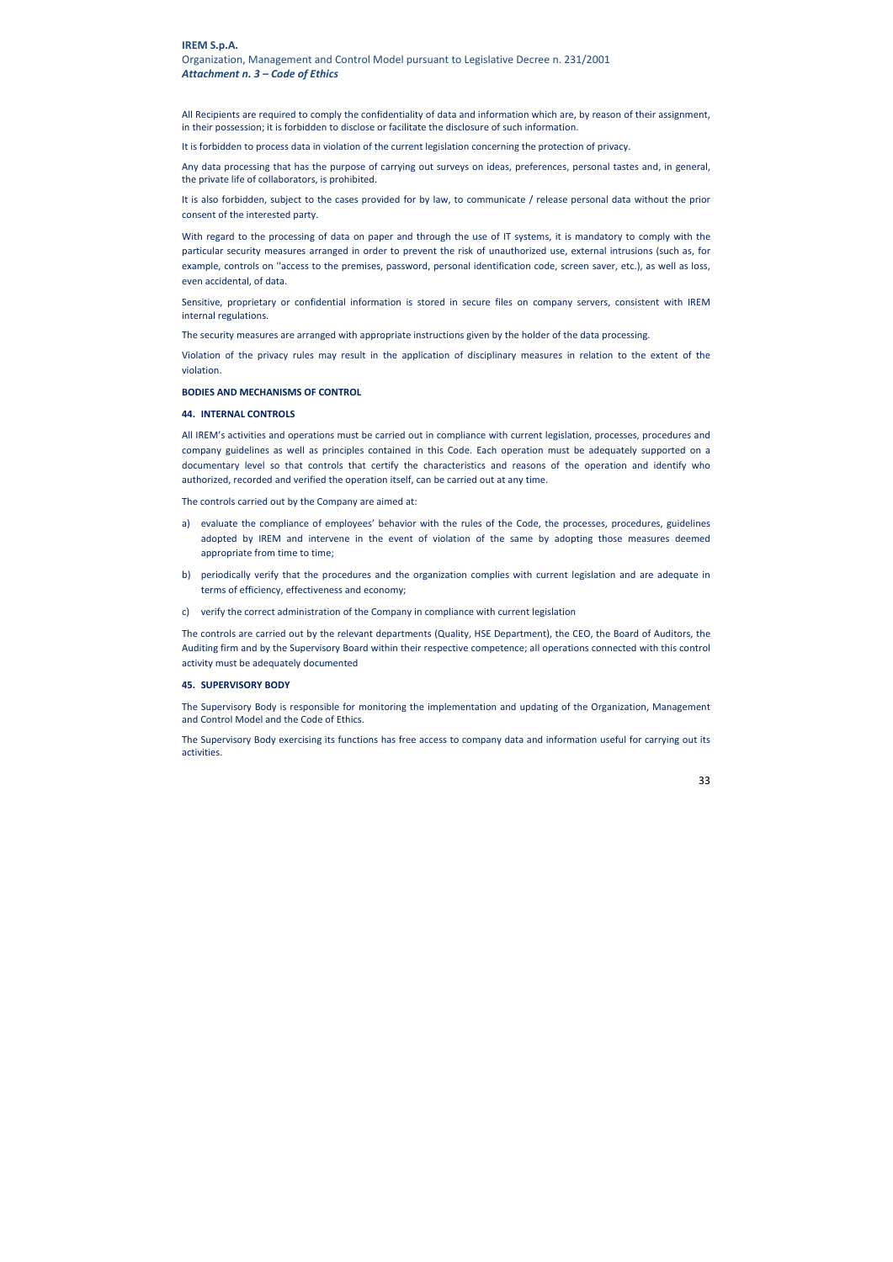All Recipients are required to comply the confidentiality of data and information which are, by reason of their assignment, in their possession; it is forbidden to disclose or facilitate the disclosure of such information.

It is forbidden to process data in violation of the current legislation concerning the protection of privacy.

Any data processing that has the purpose of carrying out surveys on ideas, preferences, personal tastes and, in general, the private life of collaborators, is prohibited.

With regard to the processing of data on paper and through the use of IT systems, it is mandatory to comply with the particular security measures arranged in order to prevent the risk of unauthorized use, external intrusions (such as, for example, controls on ''access to the premises, password, personal identification code, screen saver, etc.), as well as loss, even accidental, of data.

It is also forbidden, subject to the cases provided for by law, to communicate / release personal data without the prior consent of the interested party.

Sensitive, proprietary or confidential information is stored in secure files on company servers, consistent with IREM internal regulations.

The security measures are arranged with appropriate instructions given by the holder of the data processing.

Violation of the privacy rules may result in the application of disciplinary measures in relation to the extent of the violation.

## **BODIES AND MECHANISMS OF CONTROL**

#### **44. INTERNAL CONTROLS**

All IREM's activities and operations must be carried out in compliance with current legislation, processes, procedures and company guidelines as well as principles contained in this Code. Each operation must be adequately supported on a documentary level so that controls that certify the characteristics and reasons of the operation and identify who authorized, recorded and verified the operation itself, can be carried out at any time.

The controls carried out by the Company are aimed at:

- a) evaluate the compliance of employees' behavior with the rules of the Code, the processes, procedures, guidelines adopted by IREM and intervene in the event of violation of the same by adopting those measures deemed appropriate from time to time;
- b) periodically verify that the procedures and the organization complies with current legislation and are adequate in terms of efficiency, effectiveness and economy;
- c) verify the correct administration of the Company in compliance with current legislation

The controls are carried out by the relevant departments (Quality, HSE Department), the CEO, the Board of Auditors, the Auditing firm and by the Supervisory Board within their respective competence; all operations connected with this control activity must be adequately documented

#### **45. SUPERVISORY BODY**

The Supervisory Body is responsible for monitoring the implementation and updating of the Organization, Management and Control Model and the Code of Ethics.

The Supervisory Body exercising its functions has free access to company data and information useful for carrying out its activities.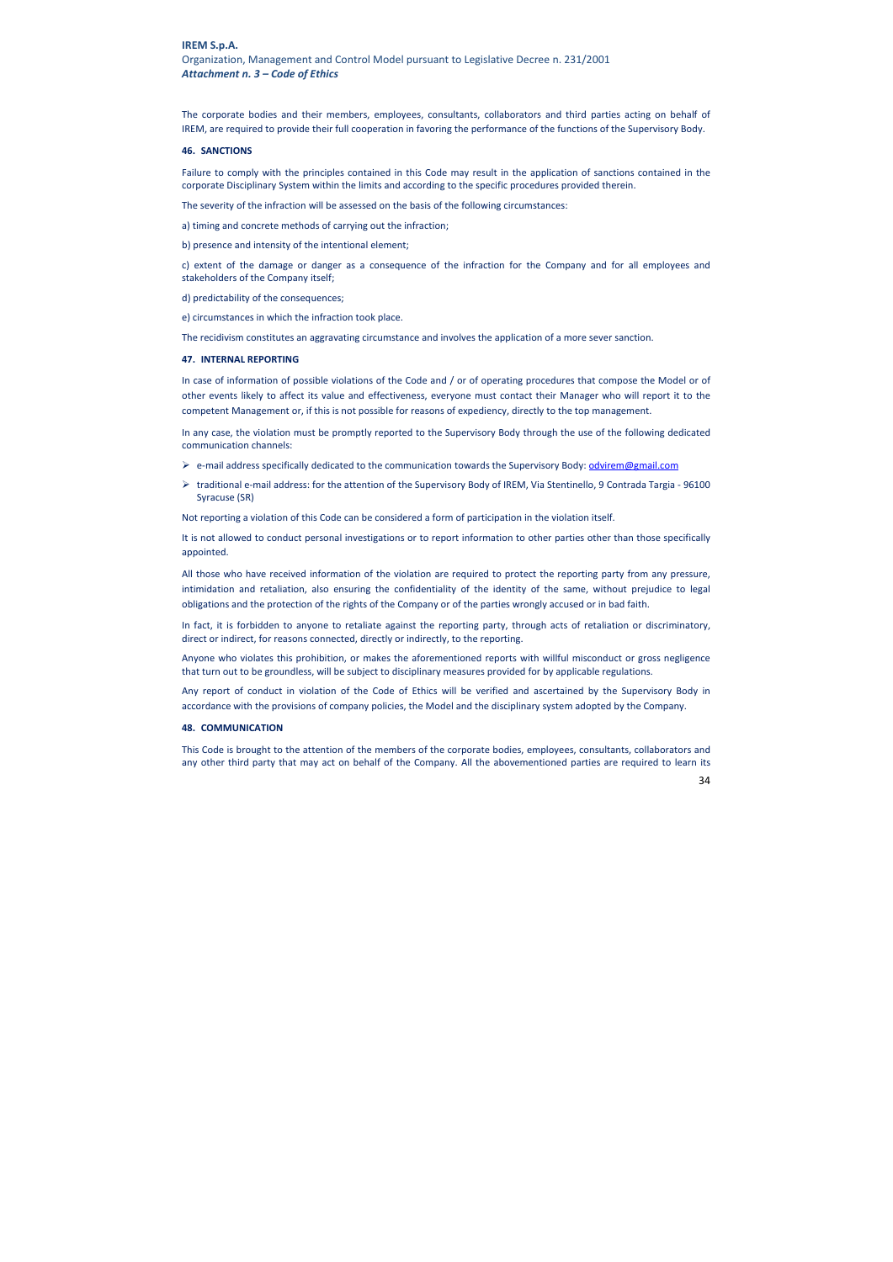The corporate bodies and their members, employees, consultants, collaborators and third parties acting on behalf of IREM, are required to provide their full cooperation in favoring the performance of the functions of the Supervisory Body.

#### **46. SANCTIONS**

Failure to comply with the principles contained in this Code may result in the application of sanctions contained in the corporate Disciplinary System within the limits and according to the specific procedures provided therein.

The severity of the infraction will be assessed on the basis of the following circumstances:

a) timing and concrete methods of carrying out the infraction;

b) presence and intensity of the intentional element;

c) extent of the damage or danger as a consequence of the infraction for the Company and for all employees and stakeholders of the Company itself;

- ▶ e-mail address specifically dedicated to the communication towards the Supervisory Body: odvirem@gmail.com
- $\triangleright$  traditional e-mail address: for the attention of the Supervisory Body of IREM, Via Stentinello, 9 Contrada Targia 96100 Syracuse (SR)

d) predictability of the consequences;

e) circumstances in which the infraction took place.

The recidivism constitutes an aggravating circumstance and involves the application of a more sever sanction.

#### **47. INTERNAL REPORTING**

In case of information of possible violations of the Code and / or of operating procedures that compose the Model or of other events likely to affect its value and effectiveness, everyone must contact their Manager who will report it to the competent Management or, if this is not possible for reasons of expediency, directly to the top management.

In any case, the violation must be promptly reported to the Supervisory Body through the use of the following dedicated communication channels:

Not reporting a violation of this Code can be considered a form of participation in the violation itself.

It is not allowed to conduct personal investigations or to report information to other parties other than those specifically appointed.

All those who have received information of the violation are required to protect the reporting party from any pressure, intimidation and retaliation, also ensuring the confidentiality of the identity of the same, without prejudice to legal obligations and the protection of the rights of the Company or of the parties wrongly accused or in bad faith.

In fact, it is forbidden to anyone to retaliate against the reporting party, through acts of retaliation or discriminatory, direct or indirect, for reasons connected, directly or indirectly, to the reporting.

Anyone who violates this prohibition, or makes the aforementioned reports with willful misconduct or gross negligence that turn out to be groundless, will be subject to disciplinary measures provided for by applicable regulations.

Any report of conduct in violation of the Code of Ethics will be verified and ascertained by the Supervisory Body in accordance with the provisions of company policies, the Model and the disciplinary system adopted by the Company.

#### **48. COMMUNICATION**

This Code is brought to the attention of the members of the corporate bodies, employees, consultants, collaborators and any other third party that may act on behalf of the Company. All the abovementioned parties are required to learn its